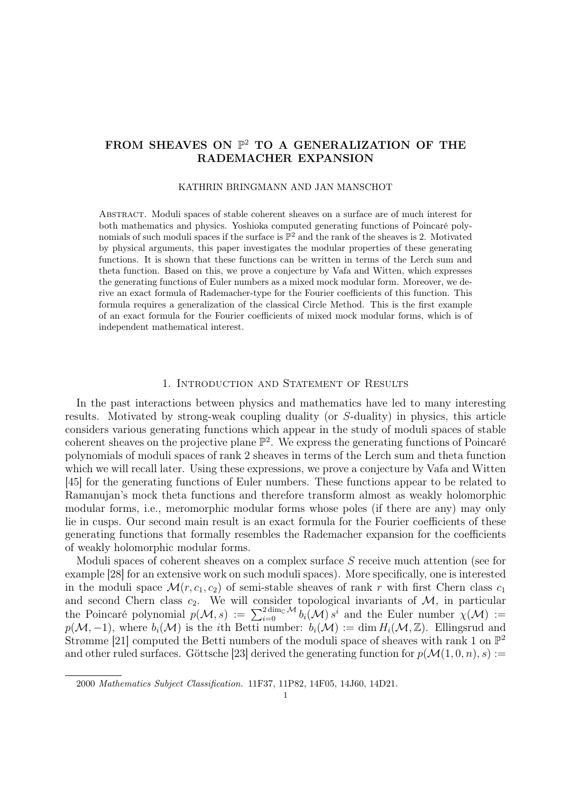# FROM SHEAVES ON  $\mathbb{P}^2$  TO A GENERALIZATION OF THE RADEMACHER EXPANSION

#### KATHRIN BRINGMANN AND JAN MANSCHOT

Abstract. Moduli spaces of stable coherent sheaves on a surface are of much interest for both mathematics and physics. Yoshioka computed generating functions of Poincaré polynomials of such moduli spaces if the surface is  $\mathbb{P}^2$  and the rank of the sheaves is 2. Motivated by physical arguments, this paper investigates the modular properties of these generating functions. It is shown that these functions can be written in terms of the Lerch sum and theta function. Based on this, we prove a conjecture by Vafa and Witten, which expresses the generating functions of Euler numbers as a mixed mock modular form. Moreover, we derive an exact formula of Rademacher-type for the Fourier coefficients of this function. This formula requires a generalization of the classical Circle Method. This is the first example of an exact formula for the Fourier coefficients of mixed mock modular forms, which is of independent mathematical interest.

#### 1. Introduction and Statement of Results

In the past interactions between physics and mathematics have led to many interesting results. Motivated by strong-weak coupling duality (or S-duality) in physics, this article considers various generating functions which appear in the study of moduli spaces of stable coherent sheaves on the projective plane  $\mathbb{P}^2$ . We express the generating functions of Poincaré polynomials of moduli spaces of rank 2 sheaves in terms of the Lerch sum and theta function which we will recall later. Using these expressions, we prove a conjecture by Vafa and Witten [45] for the generating functions of Euler numbers. These functions appear to be related to Ramanujan's mock theta functions and therefore transform almost as weakly holomorphic modular forms, i.e., meromorphic modular forms whose poles (if there are any) may only lie in cusps. Our second main result is an exact formula for the Fourier coefficients of these generating functions that formally resembles the Rademacher expansion for the coefficients of weakly holomorphic modular forms.

Moduli spaces of coherent sheaves on a complex surface S receive much attention (see for example [28] for an extensive work on such moduli spaces). More specifically, one is interested in the moduli space  $\mathcal{M}(r, c_1, c_2)$  of semi-stable sheaves of rank r with first Chern class  $c_1$ and second Chern class  $c_2$ . We will consider topological invariants of  $\mathcal{M}$ , in particular the Poincaré polynomial  $p(M, s) := \sum_{i=0}^{2 \dim_{\mathbb{C}} M} b_i(M) s^i$  and the Euler number  $\chi(M) :=$  $p(\mathcal{M},-1)$ , where  $b_i(\mathcal{M})$  is the *i*th Betti number:  $b_i(\mathcal{M}) := \dim H_i(\mathcal{M}, \mathbb{Z})$ . Ellingsrud and Strømme [21] computed the Betti numbers of the moduli space of sheaves with rank 1 on  $\mathbb{P}^2$ and other ruled surfaces. Göttsche [23] derived the generating function for  $p(\mathcal{M}(1, 0, n), s) :=$ 

<sup>2000</sup> Mathematics Subject Classification. 11F37, 11P82, 14F05, 14J60, 14D21.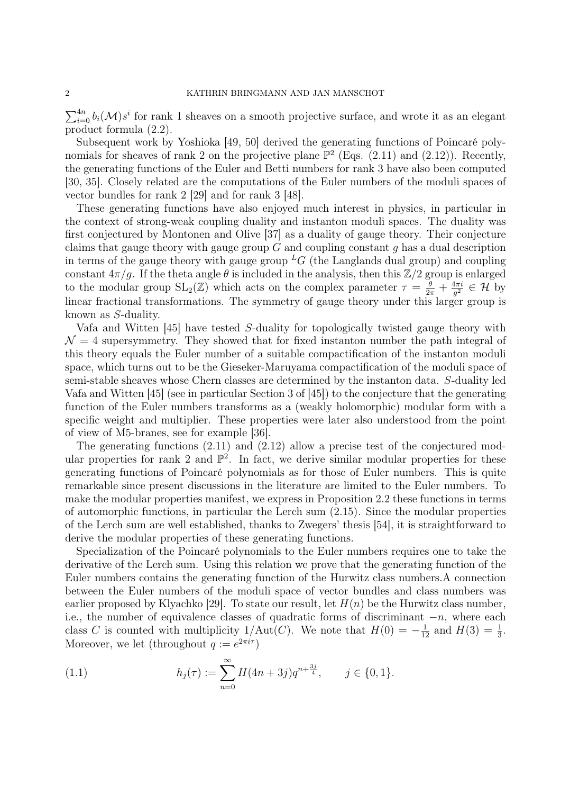$\sum_{i=0}^{4n} b_i(\mathcal{M})s^i$  for rank 1 sheaves on a smooth projective surface, and wrote it as an elegant product formula (2.2).

Subsequent work by Yoshioka [49, 50] derived the generating functions of Poincaré polynomials for sheaves of rank 2 on the projective plane  $\mathbb{P}^2$  (Eqs. (2.11) and (2.12)). Recently, the generating functions of the Euler and Betti numbers for rank 3 have also been computed [30, 35]. Closely related are the computations of the Euler numbers of the moduli spaces of vector bundles for rank 2 [29] and for rank 3 [48].

These generating functions have also enjoyed much interest in physics, in particular in the context of strong-weak coupling duality and instanton moduli spaces. The duality was first conjectured by Montonen and Olive [37] as a duality of gauge theory. Their conjecture claims that gauge theory with gauge group  $G$  and coupling constant  $q$  has a dual description in terms of the gauge theory with gauge group  ${}^L G$  (the Langlands dual group) and coupling constant  $4\pi/g$ . If the theta angle  $\theta$  is included in the analysis, then this  $\mathbb{Z}/2$  group is enlarged to the modular group  $SL_2(\mathbb{Z})$  which acts on the complex parameter  $\tau = \frac{\theta}{2\pi} + \frac{4\pi i}{g^2}$  $\frac{4\pi i}{g^2} \in \mathcal{H}$  by linear fractional transformations. The symmetry of gauge theory under this larger group is known as S-duality.

Vafa and Witten [45] have tested S-duality for topologically twisted gauge theory with  $\mathcal{N} = 4$  supersymmetry. They showed that for fixed instanton number the path integral of this theory equals the Euler number of a suitable compactification of the instanton moduli space, which turns out to be the Gieseker-Maruyama compactification of the moduli space of semi-stable sheaves whose Chern classes are determined by the instanton data. S-duality led Vafa and Witten [45] (see in particular Section 3 of [45]) to the conjecture that the generating function of the Euler numbers transforms as a (weakly holomorphic) modular form with a specific weight and multiplier. These properties were later also understood from the point of view of M5-branes, see for example [36].

The generating functions (2.11) and (2.12) allow a precise test of the conjectured modular properties for rank 2 and  $\mathbb{P}^2$ . In fact, we derive similar modular properties for these generating functions of Poincaré polynomials as for those of Euler numbers. This is quite remarkable since present discussions in the literature are limited to the Euler numbers. To make the modular properties manifest, we express in Proposition 2.2 these functions in terms of automorphic functions, in particular the Lerch sum (2.15). Since the modular properties of the Lerch sum are well established, thanks to Zwegers' thesis [54], it is straightforward to derive the modular properties of these generating functions.

Specialization of the Poincaré polynomials to the Euler numbers requires one to take the derivative of the Lerch sum. Using this relation we prove that the generating function of the Euler numbers contains the generating function of the Hurwitz class numbers.A connection between the Euler numbers of the moduli space of vector bundles and class numbers was earlier proposed by Klyachko [29]. To state our result, let  $H(n)$  be the Hurwitz class number, i.e., the number of equivalence classes of quadratic forms of discriminant  $-n$ , where each class C is counted with multiplicity  $1/\text{Aut}(C)$ . We note that  $H(0) = -\frac{1}{12}$  and  $H(3) = \frac{1}{3}$ . Moreover, we let (throughout  $q := e^{2\pi i \tau}$ )

(1.1) 
$$
h_j(\tau) := \sum_{n=0}^{\infty} H(4n+3j)q^{n+\frac{3j}{4}}, \quad j \in \{0,1\}.
$$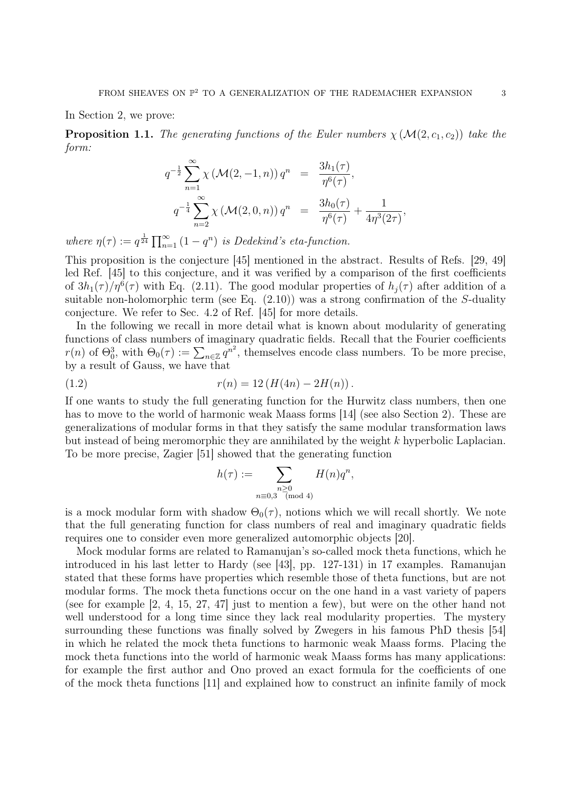In Section 2, we prove:

**Proposition 1.1.** The generating functions of the Euler numbers  $\chi(\mathcal{M}(2, c_1, c_2))$  take the form:

$$
q^{-\frac{1}{2}} \sum_{n=1}^{\infty} \chi \left( \mathcal{M}(2, -1, n) \right) q^n = \frac{3h_1(\tau)}{\eta^6(\tau)},
$$
  

$$
q^{-\frac{1}{4}} \sum_{n=2}^{\infty} \chi \left( \mathcal{M}(2, 0, n) \right) q^n = \frac{3h_0(\tau)}{\eta^6(\tau)} + \frac{1}{4\eta^3(2\tau)},
$$

where  $\eta(\tau) := q^{\frac{1}{24}} \prod_{n=1}^{\infty} (1 - q^n)$  is Dedekind's eta-function.

This proposition is the conjecture [45] mentioned in the abstract. Results of Refs. [29, 49] led Ref. [45] to this conjecture, and it was verified by a comparison of the first coefficients of  $3h_1(\tau)/\eta^6(\tau)$  with Eq. (2.11). The good modular properties of  $h_j(\tau)$  after addition of a suitable non-holomorphic term (see Eq.  $(2.10)$ ) was a strong confirmation of the S-duality conjecture. We refer to Sec. 4.2 of Ref. [45] for more details.

In the following we recall in more detail what is known about modularity of generating functions of class numbers of imaginary quadratic fields. Recall that the Fourier coefficients  $r(n)$  of  $\Theta_0^3$ , with  $\Theta_0(\tau) := \sum_{n \in \mathbb{Z}} q^{n^2}$ , themselves encode class numbers. To be more precise, by a result of Gauss, we have that

(1.2) 
$$
r(n) = 12(H(4n) - 2H(n)).
$$

If one wants to study the full generating function for the Hurwitz class numbers, then one has to move to the world of harmonic weak Maass forms [14] (see also Section 2). These are generalizations of modular forms in that they satisfy the same modular transformation laws but instead of being meromorphic they are annihilated by the weight k hyperbolic Laplacian. To be more precise, Zagier [51] showed that the generating function

$$
h(\tau) := \sum_{\substack{n \geq 0 \\ n \equiv 0,3 \pmod{4}}} H(n)q^n,
$$

is a mock modular form with shadow  $\Theta_0(\tau)$ , notions which we will recall shortly. We note that the full generating function for class numbers of real and imaginary quadratic fields requires one to consider even more generalized automorphic objects [20].

Mock modular forms are related to Ramanujan's so-called mock theta functions, which he introduced in his last letter to Hardy (see [43], pp. 127-131) in 17 examples. Ramanujan stated that these forms have properties which resemble those of theta functions, but are not modular forms. The mock theta functions occur on the one hand in a vast variety of papers (see for example [2, 4, 15, 27, 47] just to mention a few), but were on the other hand not well understood for a long time since they lack real modularity properties. The mystery surrounding these functions was finally solved by Zwegers in his famous PhD thesis [54] in which he related the mock theta functions to harmonic weak Maass forms. Placing the mock theta functions into the world of harmonic weak Maass forms has many applications: for example the first author and Ono proved an exact formula for the coefficients of one of the mock theta functions [11] and explained how to construct an infinite family of mock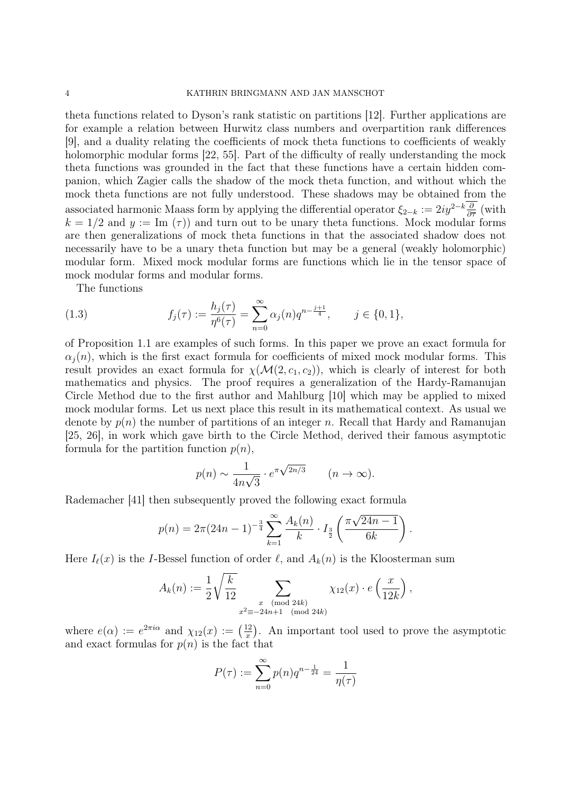theta functions related to Dyson's rank statistic on partitions [12]. Further applications are for example a relation between Hurwitz class numbers and overpartition rank differences [9], and a duality relating the coefficients of mock theta functions to coefficients of weakly holomorphic modular forms [22, 55]. Part of the difficulty of really understanding the mock theta functions was grounded in the fact that these functions have a certain hidden companion, which Zagier calls the shadow of the mock theta function, and without which the mock theta functions are not fully understood. These shadows may be obtained from the associated harmonic Maass form by applying the differential operator  $\xi_{2-k} := 2iy^{2-k}\frac{\partial}{\partial \bar{\tau}}$  (with  $k = 1/2$  and  $y := \text{Im}(\tau)$  and turn out to be unary theta functions. Mock modular forms are then generalizations of mock theta functions in that the associated shadow does not necessarily have to be a unary theta function but may be a general (weakly holomorphic) modular form. Mixed mock modular forms are functions which lie in the tensor space of mock modular forms and modular forms.

The functions

(1.3) 
$$
f_j(\tau) := \frac{h_j(\tau)}{\eta^6(\tau)} = \sum_{n=0}^{\infty} \alpha_j(n) q^{n - \frac{j+1}{4}}, \qquad j \in \{0, 1\},\
$$

of Proposition 1.1 are examples of such forms. In this paper we prove an exact formula for  $\alpha_i(n)$ , which is the first exact formula for coefficients of mixed mock modular forms. This result provides an exact formula for  $\chi(\mathcal{M}(2, c_1, c_2))$ , which is clearly of interest for both mathematics and physics. The proof requires a generalization of the Hardy-Ramanujan Circle Method due to the first author and Mahlburg [10] which may be applied to mixed mock modular forms. Let us next place this result in its mathematical context. As usual we denote by  $p(n)$  the number of partitions of an integer n. Recall that Hardy and Ramanujan [25, 26], in work which gave birth to the Circle Method, derived their famous asymptotic formula for the partition function  $p(n)$ ,

$$
p(n) \sim \frac{1}{4n\sqrt{3}} \cdot e^{\pi \sqrt{2n/3}} \qquad (n \to \infty).
$$

Rademacher [41] then subsequently proved the following exact formula

$$
p(n) = 2\pi (24n - 1)^{-\frac{3}{4}} \sum_{k=1}^{\infty} \frac{A_k(n)}{k} \cdot I_{\frac{3}{2}}\left(\frac{\pi \sqrt{24n - 1}}{6k}\right).
$$

Here  $I_{\ell}(x)$  is the I-Bessel function of order  $\ell$ , and  $A_k(n)$  is the Kloosterman sum

$$
A_k(n) := \frac{1}{2} \sqrt{\frac{k}{12}} \sum_{\substack{x \pmod{24k} \\ x^2 \equiv -24n+1 \pmod{24k}}} \chi_{12}(x) \cdot e\left(\frac{x}{12k}\right),
$$

where  $e(\alpha) := e^{2\pi i \alpha}$  and  $\chi_{12}(x) := \left(\frac{12}{x}\right)$  $\frac{12}{x}$ ). An important tool used to prove the asymptotic and exact formulas for  $p(n)$  is the fact that

$$
P(\tau) := \sum_{n=0}^{\infty} p(n)q^{n-\frac{1}{24}} = \frac{1}{\eta(\tau)}
$$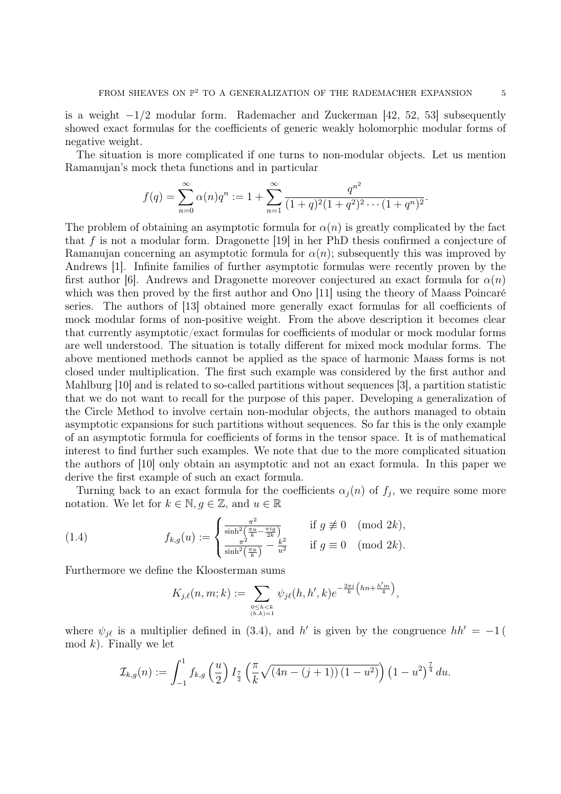is a weight  $-1/2$  modular form. Rademacher and Zuckerman [42, 52, 53] subsequently showed exact formulas for the coefficients of generic weakly holomorphic modular forms of negative weight.

The situation is more complicated if one turns to non-modular objects. Let us mention Ramanujan's mock theta functions and in particular

$$
f(q) = \sum_{n=0}^{\infty} \alpha(n)q^n := 1 + \sum_{n=1}^{\infty} \frac{q^{n^2}}{(1+q)^2(1+q^2)^2 \cdots (1+q^n)^2}.
$$

The problem of obtaining an asymptotic formula for  $\alpha(n)$  is greatly complicated by the fact that f is not a modular form. Dragonette [19] in her PhD thesis confirmed a conjecture of Ramanujan concerning an asymptotic formula for  $\alpha(n)$ ; subsequently this was improved by Andrews [1]. Infinite families of further asymptotic formulas were recently proven by the first author [6]. Andrews and Dragonette moreover conjectured an exact formula for  $\alpha(n)$ which was then proved by the first author and Ono [11] using the theory of Maass Poincaré series. The authors of [13] obtained more generally exact formulas for all coefficients of mock modular forms of non-positive weight. From the above description it becomes clear that currently asymptotic/exact formulas for coefficients of modular or mock modular forms are well understood. The situation is totally different for mixed mock modular forms. The above mentioned methods cannot be applied as the space of harmonic Maass forms is not closed under multiplication. The first such example was considered by the first author and Mahlburg [10] and is related to so-called partitions without sequences [3], a partition statistic that we do not want to recall for the purpose of this paper. Developing a generalization of the Circle Method to involve certain non-modular objects, the authors managed to obtain asymptotic expansions for such partitions without sequences. So far this is the only example of an asymptotic formula for coefficients of forms in the tensor space. It is of mathematical interest to find further such examples. We note that due to the more complicated situation the authors of [10] only obtain an asymptotic and not an exact formula. In this paper we derive the first example of such an exact formula.

Turning back to an exact formula for the coefficients  $\alpha_j(n)$  of  $f_j$ , we require some more notation. We let for  $k \in \mathbb{N}, g \in \mathbb{Z}$ , and  $u \in \mathbb{R}$ 

(1.4) 
$$
f_{k,g}(u) := \begin{cases} \frac{\pi^2}{\sinh^2(\frac{\pi u}{k} - \frac{\pi i g}{2k})} & \text{if } g \not\equiv 0 \pmod{2k}, \\ \frac{\pi^2}{\sinh^2(\frac{\pi u}{k})} - \frac{k^2}{u^2} & \text{if } g \equiv 0 \pmod{2k}. \end{cases}
$$

Furthermore we define the Kloosterman sums

$$
K_{j,\ell}(n,m;k) := \sum_{\substack{0 \le h < k \\ (h,k)=1}} \psi_{j\ell}(h,h',k) e^{-\frac{2\pi i}{k} \left( hn + \frac{h'm}{4} \right)},
$$

where  $\psi_{j\ell}$  is a multiplier defined in (3.4), and h' is given by the congruence  $hh' = -1$  ( mod  $k$ ). Finally we let

$$
\mathcal{I}_{k,g}(n) := \int_{-1}^{1} f_{k,g}\left(\frac{u}{2}\right) I_{\frac{7}{2}}\left(\frac{\pi}{k} \sqrt{(4n-(j+1))(1-u^2)}\right) \left(1-u^2\right)^{\frac{7}{4}} du.
$$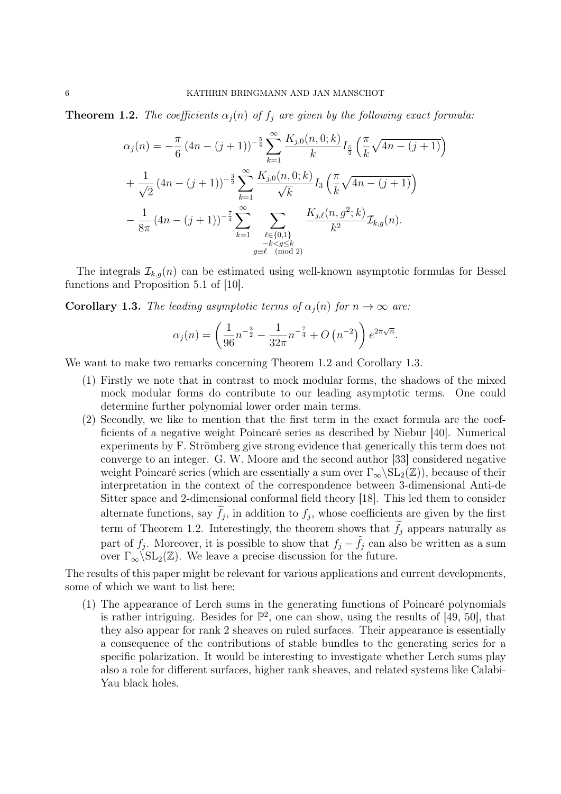**Theorem 1.2.** The coefficients  $\alpha_j(n)$  of  $f_j$  are given by the following exact formula:

$$
\alpha_j(n) = -\frac{\pi}{6} (4n - (j+1))^{-\frac{5}{4}} \sum_{k=1}^{\infty} \frac{K_{j,0}(n,0;k)}{k} I_{\frac{5}{2}}\left(\frac{\pi}{k} \sqrt{4n - (j+1)}\right)
$$
  
+ 
$$
\frac{1}{\sqrt{2}} (4n - (j+1))^{-\frac{3}{2}} \sum_{k=1}^{\infty} \frac{K_{j,0}(n,0;k)}{\sqrt{k}} I_3\left(\frac{\pi}{k} \sqrt{4n - (j+1)}\right)
$$
  
- 
$$
\frac{1}{8\pi} (4n - (j+1))^{-\frac{7}{4}} \sum_{k=1}^{\infty} \sum_{\substack{\ell \in \{0,1\} \\ -k < g \le k}} \frac{K_{j,\ell}(n,g^2;k)}{k^2} \mathcal{I}_{k,g}(n).
$$

The integrals  $\mathcal{I}_{k,g}(n)$  can be estimated using well-known asymptotic formulas for Bessel functions and Proposition 5.1 of [10].

**Corollary 1.3.** The leading asymptotic terms of  $\alpha_i(n)$  for  $n \to \infty$  are:

$$
\alpha_j(n) = \left(\frac{1}{96}n^{-\frac{3}{2}} - \frac{1}{32\pi}n^{-\frac{7}{4}} + O\left(n^{-2}\right)\right)e^{2\pi\sqrt{n}}.
$$

We want to make two remarks concerning Theorem 1.2 and Corollary 1.3.

- (1) Firstly we note that in contrast to mock modular forms, the shadows of the mixed mock modular forms do contribute to our leading asymptotic terms. One could determine further polynomial lower order main terms.
- (2) Secondly, we like to mention that the first term in the exact formula are the coefficients of a negative weight Poincaré series as described by Niebur [40]. Numerical experiments by F. Strömberg give strong evidence that generically this term does not converge to an integer. G. W. Moore and the second author [33] considered negative weight Poincaré series (which are essentially a sum over  $\Gamma_{\infty} \backslash SL_2(\mathbb{Z})$ ), because of their interpretation in the context of the correspondence between 3-dimensional Anti-de Sitter space and 2-dimensional conformal field theory [18]. This led them to consider alternate functions, say  $f_j$ , in addition to  $f_j$ , whose coefficients are given by the first term of Theorem 1.2. Interestingly, the theorem shows that  $f_j$  appears naturally as part of  $f_j$ . Moreover, it is possible to show that  $f_j - \tilde{f}_j$  can also be written as a sum over  $\Gamma_{\infty} \backslash SL_2(\mathbb{Z})$ . We leave a precise discussion for the future.

The results of this paper might be relevant for various applications and current developments, some of which we want to list here:

(1) The appearance of Lerch sums in the generating functions of Poincaré polynomials is rather intriguing. Besides for  $\mathbb{P}^2$ , one can show, using the results of [49, 50], that they also appear for rank 2 sheaves on ruled surfaces. Their appearance is essentially a consequence of the contributions of stable bundles to the generating series for a specific polarization. It would be interesting to investigate whether Lerch sums play also a role for different surfaces, higher rank sheaves, and related systems like Calabi-Yau black holes.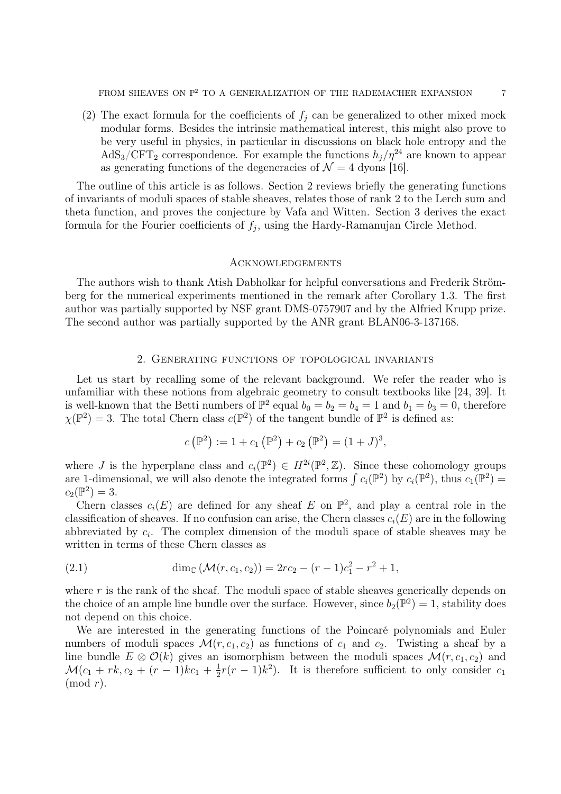(2) The exact formula for the coefficients of  $f_j$  can be generalized to other mixed mock modular forms. Besides the intrinsic mathematical interest, this might also prove to be very useful in physics, in particular in discussions on black hole entropy and the  $AdS_3/CFT_2$  correspondence. For example the functions  $h_i/\eta^{24}$  are known to appear as generating functions of the degeneracies of  $\mathcal{N} = 4$  dyons [16].

The outline of this article is as follows. Section 2 reviews briefly the generating functions of invariants of moduli spaces of stable sheaves, relates those of rank 2 to the Lerch sum and theta function, and proves the conjecture by Vafa and Witten. Section 3 derives the exact formula for the Fourier coefficients of  $f_j$ , using the Hardy-Ramanujan Circle Method.

## **ACKNOWLEDGEMENTS**

The authors wish to thank Atish Dabholkar for helpful conversations and Frederik Strömberg for the numerical experiments mentioned in the remark after Corollary 1.3. The first author was partially supported by NSF grant DMS-0757907 and by the Alfried Krupp prize. The second author was partially supported by the ANR grant BLAN06-3-137168.

### 2. Generating functions of topological invariants

Let us start by recalling some of the relevant background. We refer the reader who is unfamiliar with these notions from algebraic geometry to consult textbooks like [24, 39]. It is well-known that the Betti numbers of  $\mathbb{P}^2$  equal  $b_0 = b_2 = b_4 = 1$  and  $b_1 = b_3 = 0$ , therefore  $\chi(\mathbb{P}^2) = 3$ . The total Chern class  $c(\mathbb{P}^2)$  of the tangent bundle of  $\mathbb{P}^2$  is defined as:

$$
c(\mathbb{P}^2) := 1 + c_1(\mathbb{P}^2) + c_2(\mathbb{P}^2) = (1+J)^3,
$$

where J is the hyperplane class and  $c_i(\mathbb{P}^2) \in H^{2i}(\mathbb{P}^2, \mathbb{Z})$ . Since these cohomology groups are 1-dimensional, we will also denote the integrated forms  $\int c_i(\mathbb{P}^2)$  by  $c_i(\mathbb{P}^2)$ , thus  $c_1(\mathbb{P}^2)$  $c_2(\mathbb{P}^2) = 3.$ 

Chern classes  $c_i(E)$  are defined for any sheaf E on  $\mathbb{P}^2$ , and play a central role in the classification of sheaves. If no confusion can arise, the Chern classes  $c_i(E)$  are in the following abbreviated by  $c_i$ . The complex dimension of the moduli space of stable sheaves may be written in terms of these Chern classes as

(2.1) 
$$
\dim_{\mathbb{C}} (\mathcal{M}(r, c_1, c_2)) = 2rc_2 - (r - 1)c_1^2 - r^2 + 1,
$$

where  $r$  is the rank of the sheaf. The moduli space of stable sheaves generically depends on the choice of an ample line bundle over the surface. However, since  $b_2(\mathbb{P}^2) = 1$ , stability does not depend on this choice.

We are interested in the generating functions of the Poincaré polynomials and Euler numbers of moduli spaces  $\mathcal{M}(r, c_1, c_2)$  as functions of  $c_1$  and  $c_2$ . Twisting a sheaf by a line bundle  $E \otimes \mathcal{O}(k)$  gives an isomorphism between the moduli spaces  $\mathcal{M}(r, c_1, c_2)$  and  $\mathcal{M}(c_1 + rk, c_2 + (r-1)kc_1 + \frac{1}{2})$  $\frac{1}{2}r(r-1)k^2$ ). It is therefore sufficient to only consider  $c_1$  $\pmod{r}$ .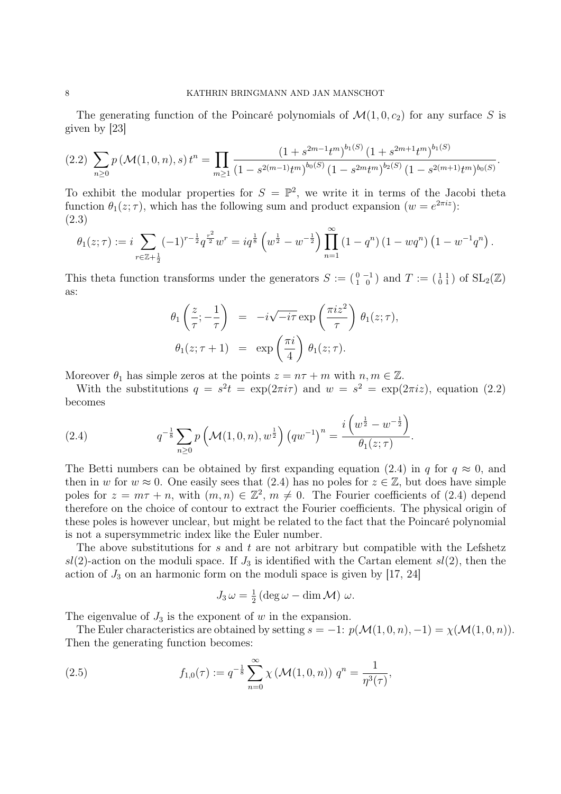The generating function of the Poincaré polynomials of  $\mathcal{M}(1, 0, c_2)$  for any surface S is given by [23]

$$
(2.2)\ \sum_{n\geq 0} p\left(\mathcal{M}(1,0,n),s\right)t^n = \prod_{m\geq 1} \frac{\left(1+s^{2m-1}t^m\right)^{b_1(S)}\left(1+s^{2m+1}t^m\right)^{b_1(S)}}{\left(1-s^{2(m-1)}t^m\right)^{b_0(S)}\left(1-s^{2m}t^m\right)^{b_2(S)}\left(1-s^{2(m+1)}t^m\right)^{b_0(S)}}
$$

.

To exhibit the modular properties for  $S = \mathbb{P}^2$ , we write it in terms of the Jacobi theta function  $\theta_1(z;\tau)$ , which has the following sum and product expansion  $(w = e^{2\pi i z})$ : (2.3)

$$
\theta_1(z;\tau) := i \sum_{r \in \mathbb{Z}+\frac{1}{2}} (-1)^{r-\frac{1}{2}} q^{\frac{r^2}{2}} w^r = iq^{\frac{1}{8}} \left( w^{\frac{1}{2}} - w^{-\frac{1}{2}} \right) \prod_{n=1}^{\infty} \left( 1 - q^n \right) \left( 1 - w q^n \right) \left( 1 - w^{-1} q^n \right).
$$

This theta function transforms under the generators  $S := \begin{pmatrix} 0 & -1 \\ 1 & 0 \end{pmatrix}$  and  $T := \begin{pmatrix} 1 & 1 \\ 0 & 1 \end{pmatrix}$  of  $SL_2(\mathbb{Z})$ as:

$$
\theta_1\left(\frac{z}{\tau}; -\frac{1}{\tau}\right) = -i\sqrt{-i\tau} \exp\left(\frac{\pi i z^2}{\tau}\right) \theta_1(z;\tau),
$$
  

$$
\theta_1(z;\tau+1) = \exp\left(\frac{\pi i}{4}\right) \theta_1(z;\tau).
$$

Moreover  $\theta_1$  has simple zeros at the points  $z = n\tau + m$  with  $n, m \in \mathbb{Z}$ .

With the substitutions  $q = s^2t = \exp(2\pi i \tau)$  and  $w = s^2 = \exp(2\pi i z)$ , equation (2.2) becomes

(2.4) 
$$
q^{-\frac{1}{8}} \sum_{n\geq 0} p\left(\mathcal{M}(1,0,n), w^{\frac{1}{2}}\right) \left(qw^{-1}\right)^n = \frac{i\left(w^{\frac{1}{2}} - w^{-\frac{1}{2}}\right)}{\theta_1(z;\tau)}.
$$

The Betti numbers can be obtained by first expanding equation (2.4) in q for  $q \approx 0$ , and then in w for  $w \approx 0$ . One easily sees that (2.4) has no poles for  $z \in \mathbb{Z}$ , but does have simple poles for  $z = m\tau + n$ , with  $(m, n) \in \mathbb{Z}^2$ ,  $m \neq 0$ . The Fourier coefficients of (2.4) depend therefore on the choice of contour to extract the Fourier coefficients. The physical origin of these poles is however unclear, but might be related to the fact that the Poincaré polynomial is not a supersymmetric index like the Euler number.

The above substitutions for  $s$  and  $t$  are not arbitrary but compatible with the Lefshetz  $sl(2)$ -action on the moduli space. If  $J_3$  is identified with the Cartan element  $sl(2)$ , then the action of  $J_3$  on an harmonic form on the moduli space is given by [17, 24]

$$
J_3 \omega = \frac{1}{2} \left( \deg \omega - \dim \mathcal{M} \right) \omega.
$$

The eigenvalue of  $J_3$  is the exponent of w in the expansion.

The Euler characteristics are obtained by setting  $s = -1: p(\mathcal{M}(1, 0, n), -1) = \chi(\mathcal{M}(1, 0, n)).$ Then the generating function becomes:

(2.5) 
$$
f_{1,0}(\tau) := q^{-\frac{1}{8}} \sum_{n=0}^{\infty} \chi \left( \mathcal{M}(1,0,n) \right) q^n = \frac{1}{\eta^3(\tau)},
$$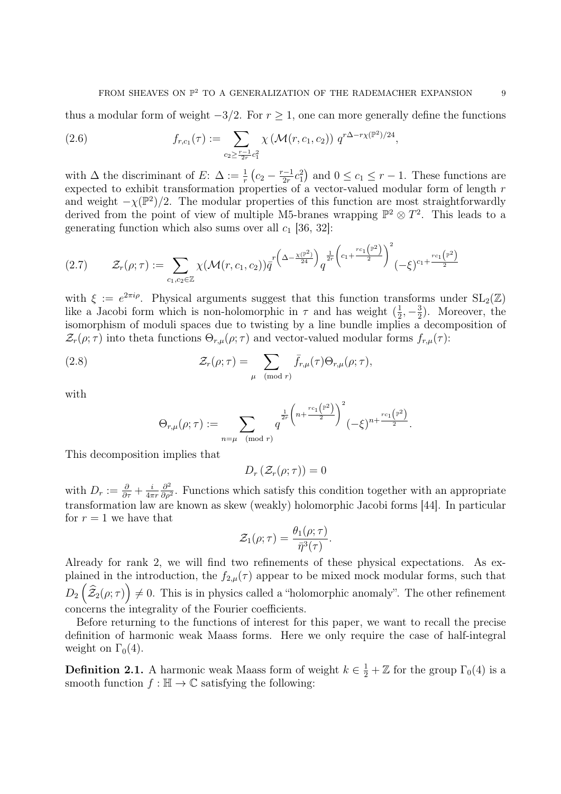thus a modular form of weight  $-3/2$ . For  $r \ge 1$ , one can more generally define the functions

(2.6) 
$$
f_{r,c_1}(\tau) := \sum_{c_2 \geq \frac{r-1}{2r}c_1^2} \chi\left(\mathcal{M}(r,c_1,c_2)\right) q^{r\Delta - r\chi(\mathbb{P}^2)/24},
$$

with  $\Delta$  the discriminant of E:  $\Delta := \frac{1}{r} \left( c_2 - \frac{r-1}{2r} \right)$  $\frac{(-1)}{2r}c_1^2$  and  $0 \le c_1 \le r-1$ . These functions are expected to exhibit transformation properties of a vector-valued modular form of length r and weight  $-\chi(\mathbb{P}^2)/2$ . The modular properties of this function are most straightforwardly derived from the point of view of multiple M5-branes wrapping  $\mathbb{P}^2 \otimes T^2$ . This leads to a generating function which also sums over all  $c_1$  [36, 32]:

$$
(2.7) \qquad \mathcal{Z}_r(\rho;\tau) := \sum_{c_1,c_2 \in \mathbb{Z}} \chi(\mathcal{M}(r,c_1,c_2)) \bar{q}^{r\left(\Delta - \frac{\chi(\mathbb{P}^2)}{24}\right)} q^{\frac{1}{2r}\left(c_1 + \frac{rc_1(\mathbb{P}^2)}{2}\right)^2} (-\xi)^{c_1 + \frac{rc_1(\mathbb{P}^2)}{2}}
$$

with  $\xi := e^{2\pi i \rho}$ . Physical arguments suggest that this function transforms under  $SL_2(\mathbb{Z})$ like a Jacobi form which is non-holomorphic in  $\tau$  and has weight  $(\frac{1}{2})$  $\frac{1}{2}, -\frac{3}{2}$  $(\frac{3}{2})$ . Moreover, the isomorphism of moduli spaces due to twisting by a line bundle implies a decomposition of  $\mathcal{Z}_r(\rho;\tau)$  into theta functions  $\Theta_{r,\mu}(\rho;\tau)$  and vector-valued modular forms  $f_{r,\mu}(\tau)$ :

(2.8) 
$$
\mathcal{Z}_r(\rho;\tau) = \sum_{\mu \pmod{r}} \bar{f}_{r,\mu}(\tau) \Theta_{r,\mu}(\rho;\tau),
$$

with

$$
\Theta_{r,\mu}(\rho;\tau):=\sum_{n=\mu\pmod{r}}q^{\frac{1}{2r}\left(n+\frac{rc_1\left(\mathbb{P}^2\right)}{2}\right)^2}(-\xi)^{n+\frac{rc_1\left(\mathbb{P}^2\right)}{2}}.
$$

This decomposition implies that

$$
D_r\left(\mathcal{Z}_r(\rho;\tau)\right)=0
$$

with  $D_r := \frac{\partial}{\partial \tau} + \frac{i}{4\pi}$  $4\pi r$  $\partial^2$  $\frac{\partial^2}{\partial \rho^2}$ . Functions which satisfy this condition together with an appropriate transformation law are known as skew (weakly) holomorphic Jacobi forms [44]. In particular for  $r = 1$  we have that

$$
\mathcal{Z}_1(\rho;\tau)=\frac{\theta_1(\rho;\tau)}{\bar{\eta}^3(\tau)}.
$$

Already for rank 2, we will find two refinements of these physical expectations. As explained in the introduction, the  $f_{2,\mu}(\tau)$  appear to be mixed mock modular forms, such that  $D_2(\widehat{\mathcal{Z}}_2(\rho;\tau)\Big)\neq 0$ . This is in physics called a "holomorphic anomaly". The other refinement concerns the integrality of the Fourier coefficients.

Before returning to the functions of interest for this paper, we want to recall the precise definition of harmonic weak Maass forms. Here we only require the case of half-integral weight on  $\Gamma_0(4)$ .

**Definition 2.1.** A harmonic weak Maass form of weight  $k \in \frac{1}{2} + \mathbb{Z}$  for the group  $\Gamma_0(4)$  is a smooth function  $f : \mathbb{H} \to \mathbb{C}$  satisfying the following: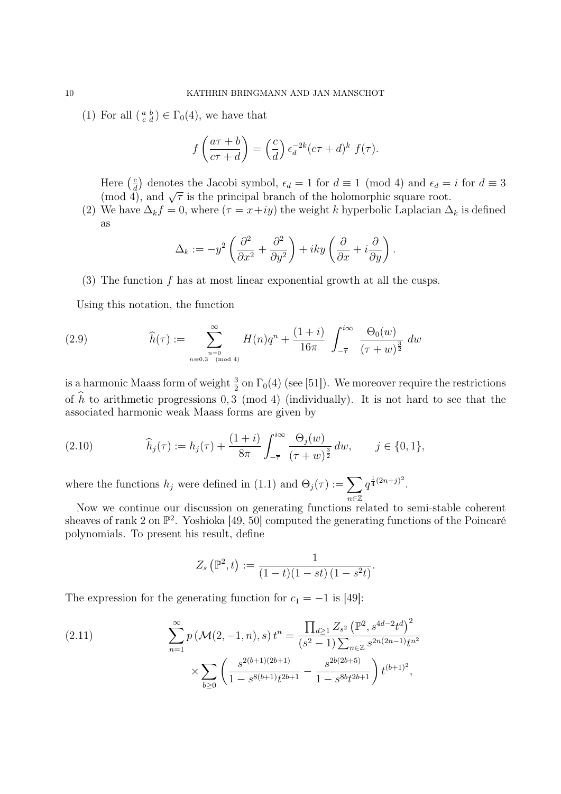(1) For all  $\left(\begin{smallmatrix} a & b \\ c & d \end{smallmatrix}\right) \in \Gamma_0(4)$ , we have that

$$
f\left(\frac{a\tau+b}{c\tau+d}\right) = \left(\frac{c}{d}\right) \epsilon_d^{-2k} (c\tau+d)^k f(\tau).
$$

Here  $\left(\frac{c}{d}\right)$  $\frac{c}{d}$  denotes the Jacobi symbol,  $\epsilon_d = 1$  for  $d \equiv 1 \pmod{4}$  and  $\epsilon_d = i$  for  $d \equiv 3$ There  $\left(\frac{7}{d}\right)$  denotes the Jacobi symbol,  $\epsilon_d = 1$  for  $a \equiv 1$  (flood 4), and  $\epsilon_d =$  (mod 4), and  $\sqrt{\tau}$  is the principal branch of the holomorphic square root.

(2) We have  $\Delta_k f = 0$ , where  $(\tau = x+iy)$  the weight k hyperbolic Laplacian  $\Delta_k$  is defined as

$$
\Delta_k := -y^2 \left( \frac{\partial^2}{\partial x^2} + \frac{\partial^2}{\partial y^2} \right) + iky \left( \frac{\partial}{\partial x} + i \frac{\partial}{\partial y} \right).
$$

(3) The function  $f$  has at most linear exponential growth at all the cusps.

Using this notation, the function

(2.9) 
$$
\widehat{h}(\tau) := \sum_{\substack{n=0 \ n \equiv 0,3 \pmod{4}}}^{\infty} H(n)q^{n} + \frac{(1+i)}{16\pi} \int_{-\overline{\tau}}^{i\infty} \frac{\Theta_{0}(w)}{(\tau+w)^{\frac{3}{2}}} dw
$$

is a harmonic Maass form of weight  $\frac{3}{2}$  on  $\Gamma_0(4)$  (see [51]). We moreover require the restrictions of  $\hat{h}$  to arithmetic progressions 0, 3 (mod 4) (individually). It is not hard to see that the associated harmonic weak Maass forms are given by

(2.10) 
$$
\widehat{h}_j(\tau) := h_j(\tau) + \frac{(1+i)}{8\pi} \int_{-\overline{\tau}}^{i\infty} \frac{\Theta_j(w)}{(\tau+w)^{\frac{3}{2}}} dw, \qquad j \in \{0,1\},
$$

where the functions  $h_j$  were defined in (1.1) and  $\Theta_j(\tau) := \sum$ n∈Z  $q^{\frac{1}{4}(2n+j)^2}$ .

Now we continue our discussion on generating functions related to semi-stable coherent sheaves of rank 2 on  $\mathbb{P}^2$ . Yoshioka [49, 50] computed the generating functions of the Poincaré polynomials. To present his result, define

$$
Z_s\left(\mathbb{P}^2,t\right) := \frac{1}{(1-t)(1-st)(1-s^2t)}.
$$

The expression for the generating function for  $c_1 = -1$  is [49]:

(2.11) 
$$
\sum_{n=1}^{\infty} p(\mathcal{M}(2, -1, n), s) t^{n} = \frac{\prod_{d\geq 1} Z_{s^{2}} (\mathbb{P}^{2}, s^{4d-2} t^{d})^{2}}{(s^{2} - 1) \sum_{n \in \mathbb{Z}} s^{2n(2n-1)} t^{n^{2}}}
$$

$$
\times \sum_{b\geq 0} \left( \frac{s^{2(b+1)(2b+1)}}{1 - s^{8(b+1)} t^{2b+1}} - \frac{s^{2b(2b+5)}}{1 - s^{8b} t^{2b+1}} \right) t^{(b+1)^{2}},
$$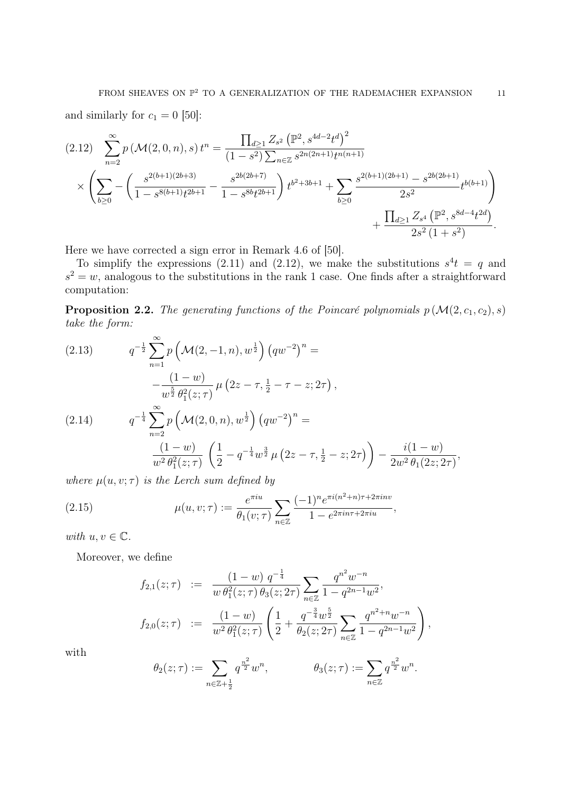and similarly for  $c_1 = 0$  [50]:

$$
(2.12) \sum_{n=2}^{\infty} p\left(\mathcal{M}(2,0,n),s\right) t^{n} = \frac{\prod_{d\geq 1} Z_{s^{2}} \left(\mathbb{P}^{2}, s^{4d-2} t^{d}\right)^{2}}{(1-s^{2}) \sum_{n\in\mathbb{Z}} s^{2n(2n+1)} t^{n(n+1)}} \times \left(\sum_{b\geq 0} -\left(\frac{s^{2(b+1)(2b+3)}}{1-s^{8(b+1)} t^{2b+1}} - \frac{s^{2b(2b+7)}}{1-s^{8b} t^{2b+1}}\right) t^{b^{2}+3b+1} + \sum_{b\geq 0} \frac{s^{2(b+1)(2b+1)} - s^{2b(2b+1)}}{2s^{2}} t^{b(b+1)} \right) + \frac{\prod_{d\geq 1} Z_{s^{4}} \left(\mathbb{P}^{2}, s^{8d-4} t^{2d}\right)}{2s^{2} \left(1+s^{2}\right)}.
$$

Here we have corrected a sign error in Remark 4.6 of [50].

To simplify the expressions (2.11) and (2.12), we make the substitutions  $s^4t = q$  and  $s^2 = w$ , analogous to the substitutions in the rank 1 case. One finds after a straightforward computation:

**Proposition 2.2.** The generating functions of the Poincaré polynomials  $p(M(2, c_1, c_2), s)$ take the form:

(2.13) 
$$
q^{-\frac{1}{2}} \sum_{n=1}^{\infty} p\left(\mathcal{M}(2, -1, n), w^{\frac{1}{2}}\right) \left(qw^{-2}\right)^n =
$$

$$
-\frac{(1-w)}{w^{\frac{5}{2}} \theta_1^2(z; \tau)} \mu\left(2z - \tau, \frac{1}{2} - \tau - z; 2\tau\right),
$$
  
(2.14) 
$$
q^{-\frac{1}{4}} \sum_{n=2}^{\infty} p\left(\mathcal{M}(2, 0, n), w^{\frac{1}{2}}\right) \left(qw^{-2}\right)^n =
$$

$$
\frac{(1-w)}{w^2 \theta_1^2(z; \tau)} \left(\frac{1}{2} - q^{-\frac{1}{4}} w^{\frac{3}{2}} \mu\left(2z - \tau, \frac{1}{2} - z; 2\tau\right)\right) - \frac{i(1-w)}{2w^2 \theta_1(2z; 2\tau)},
$$

where  $\mu(u, v; \tau)$  is the Lerch sum defined by

(2.15) 
$$
\mu(u, v; \tau) := \frac{e^{\pi i u}}{\theta_1(v; \tau)} \sum_{n \in \mathbb{Z}} \frac{(-1)^n e^{\pi i (n^2 + n)\tau + 2\pi i n v}}{1 - e^{2\pi i n \tau + 2\pi i u}},
$$

with  $u, v \in \mathbb{C}$ .

Moreover, we define

$$
f_{2,1}(z;\tau) := \frac{(1-w) q^{-\frac{1}{4}}}{w \theta_1^2(z;\tau) \theta_3(z;2\tau)} \sum_{n \in \mathbb{Z}} \frac{q^{n^2} w^{-n}}{1 - q^{2n-1} w^2},
$$
  

$$
f_{2,0}(z;\tau) := \frac{(1-w)}{w^2 \theta_1^2(z;\tau)} \left(\frac{1}{2} + \frac{q^{-\frac{3}{4}} w^{\frac{5}{2}}}{\theta_2(z;2\tau)} \sum_{n \in \mathbb{Z}} \frac{q^{n^2+n} w^{-n}}{1 - q^{2n-1} w^2}\right),
$$

with

$$
\theta_2(z;\tau) := \sum_{n \in \mathbb{Z} + \frac{1}{2}} q^{\frac{n^2}{2}} w^n, \qquad \theta_3(z;\tau) := \sum_{n \in \mathbb{Z}} q^{\frac{n^2}{2}} w^n.
$$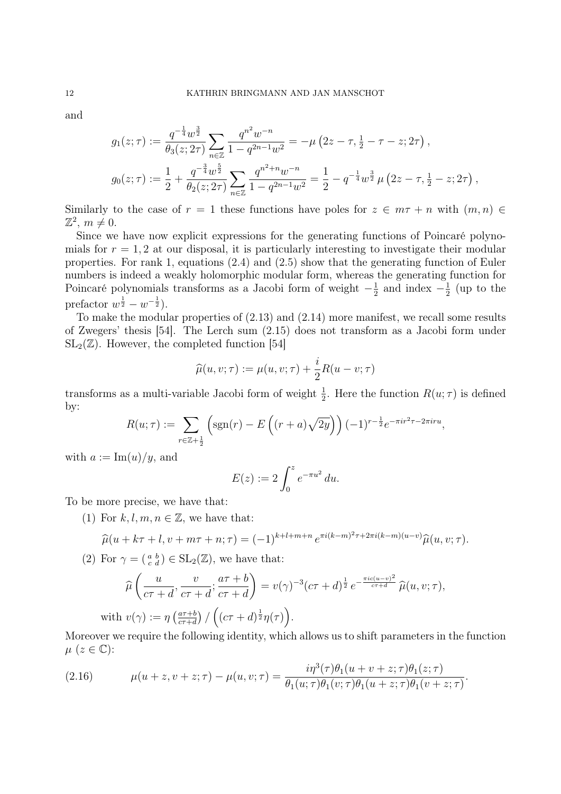and

$$
g_1(z;\tau) := \frac{q^{-\frac{1}{4}}w^{\frac{3}{2}}}{\theta_3(z;2\tau)} \sum_{n\in\mathbb{Z}} \frac{q^{n^2}w^{-n}}{1-q^{2n-1}w^2} = -\mu\left(2z-\tau,\frac{1}{2}-\tau-z;2\tau\right),
$$
  

$$
g_0(z;\tau) := \frac{1}{2} + \frac{q^{-\frac{3}{4}}w^{\frac{5}{2}}}{\theta_2(z;2\tau)} \sum_{n\in\mathbb{Z}} \frac{q^{n^2+n}w^{-n}}{1-q^{2n-1}w^2} = \frac{1}{2} - q^{-\frac{1}{4}}w^{\frac{3}{2}}\mu\left(2z-\tau,\frac{1}{2}-z;2\tau\right),
$$

Similarly to the case of  $r = 1$  these functions have poles for  $z \in m\tau + n$  with  $(m, n) \in$  $\mathbb{Z}^2$ ,  $m \neq 0$ .

Since we have now explicit expressions for the generating functions of Poincaré polynomials for  $r = 1, 2$  at our disposal, it is particularly interesting to investigate their modular properties. For rank 1, equations (2.4) and (2.5) show that the generating function of Euler numbers is indeed a weakly holomorphic modular form, whereas the generating function for Poincaré polynomials transforms as a Jacobi form of weight  $-\frac{1}{2}$  $\frac{1}{2}$  and index  $-\frac{1}{2}$  $rac{1}{2}$  (up to the prefactor  $w^{\frac{1}{2}} - w^{-\frac{1}{2}}$ ).

To make the modular properties of (2.13) and (2.14) more manifest, we recall some results of Zwegers' thesis [54]. The Lerch sum (2.15) does not transform as a Jacobi form under  $SL_2(\mathbb{Z})$ . However, the completed function [54]

$$
\widehat{\mu}(u, v; \tau) := \mu(u, v; \tau) + \frac{i}{2}R(u - v; \tau)
$$

transforms as a multi-variable Jacobi form of weight  $\frac{1}{2}$ . Here the function  $R(u; \tau)$  is defined by:

$$
R(u;\tau) := \sum_{r \in \mathbb{Z}+\frac{1}{2}} \left( \text{sgn}(r) - E\left( (r+a)\sqrt{2y} \right) \right) (-1)^{r-\frac{1}{2}} e^{-\pi i r^2 \tau - 2\pi i r u},
$$

with  $a := \text{Im}(u)/y$ , and

$$
E(z) := 2 \int_0^z e^{-\pi u^2} du.
$$

To be more precise, we have that:

(1) For  $k, l, m, n \in \mathbb{Z}$ , we have that:

$$
\widehat{\mu}(u + k\tau + l, v + m\tau + n; \tau) = (-1)^{k+l+m+n} e^{\pi i (k-m)^2 \tau + 2\pi i (k-m)(u-v)} \widehat{\mu}(u, v; \tau).
$$

(2) For  $\gamma = \begin{pmatrix} a & b \\ c & d \end{pmatrix} \in SL_2(\mathbb{Z})$ , we have that:

$$
\widehat{\mu}\left(\frac{u}{c\tau+d}, \frac{v}{c\tau+d}; \frac{a\tau+b}{c\tau+d}\right) = v(\gamma)^{-3}(c\tau+d)^{\frac{1}{2}}e^{-\frac{\pi ic(u-v)^2}{c\tau+d}}\widehat{\mu}(u,v;\tau),
$$
  
with  $v(\gamma) := \eta\left(\frac{a\tau+b}{c\tau+d}\right) / \left((c\tau+d)^{\frac{1}{2}}\eta(\tau)\right).$ 

Moreover we require the following identity, which allows us to shift parameters in the function  $\mu$  ( $z \in \mathbb{C}$ ):

(2.16) 
$$
\mu(u+z, v+z; \tau) - \mu(u, v; \tau) = \frac{i\eta^3(\tau)\theta_1(u+v+z; \tau)\theta_1(z; \tau)}{\theta_1(u; \tau)\theta_1(v; \tau)\theta_1(u+z; \tau)\theta_1(v+z; \tau)}.
$$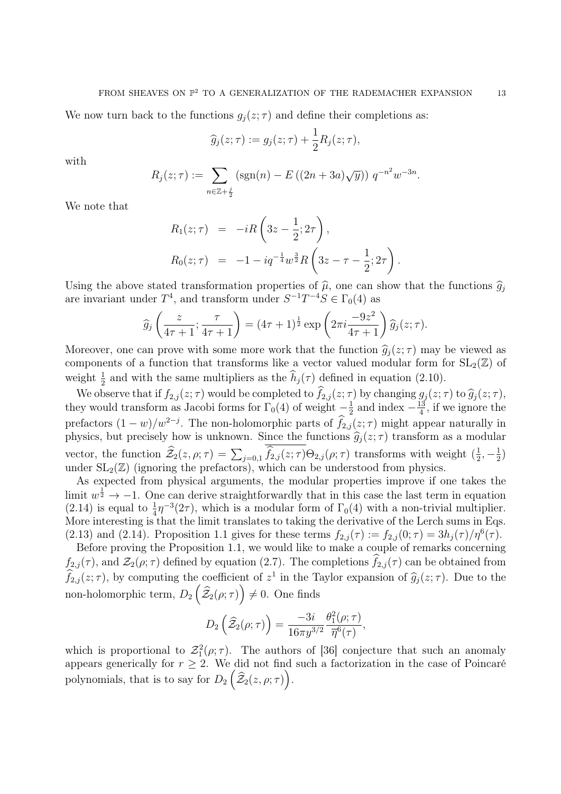We now turn back to the functions  $g_j(z;\tau)$  and define their completions as:

$$
\widehat{g}_j(z;\tau) := g_j(z;\tau) + \frac{1}{2}R_j(z;\tau),
$$

with

$$
R_j(z;\tau) := \sum_{n \in \mathbb{Z} + \frac{j}{2}} \left( \text{sgn}(n) - E\left( (2n + 3a) \sqrt{y} \right) \right) q^{-n^2} w^{-3n}.
$$

We note that

$$
R_1(z;\tau) = -iR\left(3z - \frac{1}{2}; 2\tau\right),
$$
  
\n
$$
R_0(z;\tau) = -1 - iq^{-\frac{1}{4}}w^{\frac{3}{2}}R\left(3z - \tau - \frac{1}{2}; 2\tau\right).
$$

Using the above stated transformation properties of  $\hat{\mu}$ , one can show that the functions  $\hat{g}_i$ are invariant under  $T^4$ , and transform under  $S^{-1}T^{-4}S \in \Gamma_0(4)$  as

$$
\widehat{g}_j\left(\frac{z}{4\tau+1};\frac{\tau}{4\tau+1}\right)=(4\tau+1)^{\frac{1}{2}}\exp\left(2\pi i\frac{-9z^2}{4\tau+1}\right)\widehat{g}_j(z;\tau).
$$

Moreover, one can prove with some more work that the function  $\hat{g}_i(z; \tau)$  may be viewed as components of a function that transforms like a vector valued modular form for  $SL_2(\mathbb{Z})$  of weight  $\frac{1}{2}$  and with the same multipliers as the  $\hat{h}_j(\tau)$  defined in equation (2.10).

We observe that if  $f_{2,j}(z;\tau)$  would be completed to  $\widehat{f}_{2,j}(z;\tau)$  by changing  $g_j(z;\tau)$  to  $\widehat{g}_j(z;\tau)$ , they would transform as Jacobi forms for  $\Gamma_0(4)$  of weight  $-\frac{1}{2}$  $\frac{1}{2}$  and index  $-\frac{13}{4}$  $\frac{13}{4}$ , if we ignore the prefactors  $(1-w)/w^{2-j}$ . The non-holomorphic parts of  $\hat{f}_{2,j}(z;\tau)$  might appear naturally in physics, but precisely how is unknown. Since the functions  $\hat{g}_j(z;\tau)$  transform as a modular vector, the function  $\hat{\mathcal{Z}}_2(z,\rho;\tau) = \sum_{j=0,1} \hat{f}_{2,j}(z;\tau)\Theta_{2,j}(\rho;\tau)$  transforms with weight  $(\frac{1}{2})$  $\frac{1}{2}, -\frac{1}{2}$  $\frac{1}{2}$ under  $SL_2(\mathbb{Z})$  (ignoring the prefactors), which can be understood from physics.

As expected from physical arguments, the modular properties improve if one takes the limit  $w^{\frac{1}{2}} \rightarrow -1$ . One can derive straightforwardly that in this case the last term in equation (2.14) is equal to  $\frac{1}{4}\eta^{-3}(2\tau)$ , which is a modular form of  $\Gamma_0(4)$  with a non-trivial multiplier. More interesting is that the limit translates to taking the derivative of the Lerch sums in Eqs. (2.13) and (2.14). Proposition 1.1 gives for these terms  $f_{2,j}(\tau) := f_{2,j}(0;\tau) = 3h_j(\tau)/\eta^6(\tau)$ .

Before proving the Proposition 1.1, we would like to make a couple of remarks concerning  $f_{2,j}(\tau)$ , and  $\mathcal{Z}_2(\rho;\tau)$  defined by equation (2.7). The completions  $\widehat{f}_{2,j}(\tau)$  can be obtained from  $\hat{f}_{2,j}(z;\tau)$ , by computing the coefficient of  $z^1$  in the Taylor expansion of  $\hat{g}_j(z;\tau)$ . Due to the non-holomorphic term,  $D_2(\widehat{\mathcal{Z}}_2(\rho;\tau)) \neq 0$ . One finds

$$
D_2\left(\widehat{\mathcal{Z}}_2(\rho;\tau)\right)=\frac{-3i}{16\pi y^{3/2}}\frac{\theta_1^2(\rho;\tau)}{\overline{\eta}^6(\tau)},
$$

which is proportional to  $\mathcal{Z}_1^2(\rho;\tau)$ . The authors of [36] conjecture that such an anomaly appears generically for  $r \geq 2$ . We did not find such a factorization in the case of Poincaré polynomials, that is to say for  $D_2\left(\widehat{\mathcal{Z}}_2(z,\rho;\tau)\right)$ .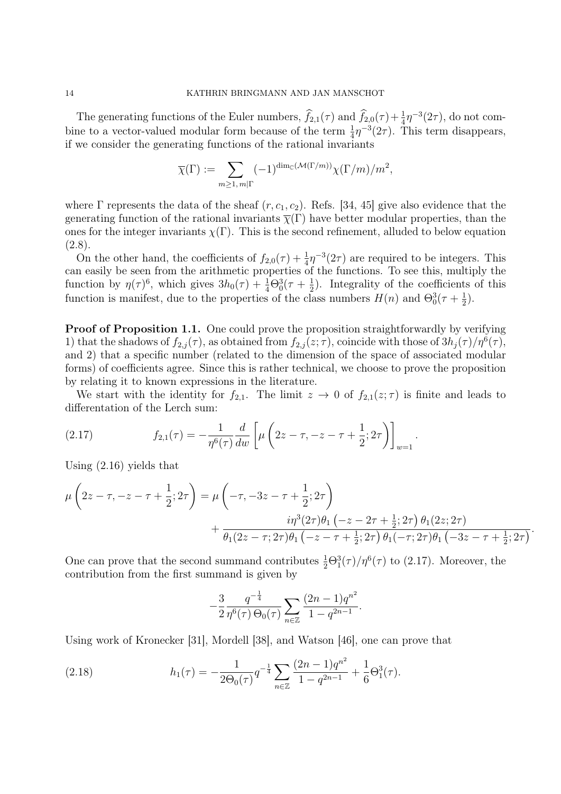The generating functions of the Euler numbers,  $\hat{f}_{2,1}(\tau)$  and  $\hat{f}_{2,0}(\tau) + \frac{1}{4}\eta^{-3}(2\tau)$ , do not combine to a vector-valued modular form because of the term  $\frac{1}{4}\eta^{-3}(2\tau)$ . This term disappears, if we consider the generating functions of the rational invariants

$$
\overline{\chi}(\Gamma):=\sum_{m\geq 1,\,m|\Gamma}(-1)^{{\rm dim}_{\mathbb{C}}(\mathcal{M}(\Gamma/m))}\chi(\Gamma/m)/m^2,
$$

where  $\Gamma$  represents the data of the sheaf  $(r, c_1, c_2)$ . Refs. [34, 45] give also evidence that the generating function of the rational invariants  $\overline{\chi}(\Gamma)$  have better modular properties, than the ones for the integer invariants  $\chi(\Gamma)$ . This is the second refinement, alluded to below equation  $(2.8).$ 

On the other hand, the coefficients of  $f_{2,0}(\tau) + \frac{1}{4}\eta^{-3}(2\tau)$  are required to be integers. This can easily be seen from the arithmetic properties of the functions. To see this, multiply the function by  $\eta(\tau)^6$ , which gives  $3h_0(\tau) + \frac{1}{4}\Theta_0^3(\tau + \frac{1}{2})$  $(\frac{1}{2})$ . Integrality of the coefficients of this function is manifest, due to the properties of the class numbers  $H(n)$  and  $\Theta_0^3(\tau + \frac{1}{2})$  $(\frac{1}{2})$ .

**Proof of Proposition 1.1.** One could prove the proposition straightforwardly by verifying 1) that the shadows of  $f_{2,j}(\tau)$ , as obtained from  $f_{2,j}(z;\tau)$ , coincide with those of  $3h_j(\tau)/\eta^6(\tau)$ , and 2) that a specific number (related to the dimension of the space of associated modular forms) of coefficients agree. Since this is rather technical, we choose to prove the proposition by relating it to known expressions in the literature.

We start with the identity for  $f_{2,1}$ . The limit  $z \to 0$  of  $f_{2,1}(z;\tau)$  is finite and leads to differentation of the Lerch sum:

(2.17) 
$$
f_{2,1}(\tau) = -\frac{1}{\eta^6(\tau)} \frac{d}{dw} \left[ \mu \left( 2z - \tau, -z - \tau + \frac{1}{2}; 2\tau \right) \right]_{w=1}.
$$

Using (2.16) yields that

$$
\mu\left(2z-\tau, -z-\tau+\frac{1}{2}; 2\tau\right) = \mu\left(-\tau, -3z-\tau+\frac{1}{2}; 2\tau\right) \n+ \frac{i\eta^3(2\tau)\theta_1\left(-z-2\tau+\frac{1}{2}; 2\tau\right)\theta_1(2z; 2\tau)}{\theta_1(2z-\tau; 2\tau)\theta_1\left(-z-\tau+\frac{1}{2}; 2\tau\right)\theta_1(-\tau; 2\tau)\theta_1\left(-3z-\tau+\frac{1}{2}; 2\tau\right)}.
$$

One can prove that the second summand contributes  $\frac{1}{2}\Theta_1^3(\tau)/\eta^6(\tau)$  to (2.17). Moreover, the contribution from the first summand is given by

$$
-\frac{3}{2} \frac{q^{-\frac{1}{4}}}{\eta^6(\tau) \Theta_0(\tau)} \sum_{n \in \mathbb{Z}} \frac{(2n-1)q^{n^2}}{1-q^{2n-1}}.
$$

Using work of Kronecker [31], Mordell [38], and Watson [46], one can prove that

(2.18) 
$$
h_1(\tau) = -\frac{1}{2\Theta_0(\tau)} q^{-\frac{1}{4}} \sum_{n \in \mathbb{Z}} \frac{(2n-1)q^{n^2}}{1-q^{2n-1}} + \frac{1}{6}\Theta_1^3(\tau).
$$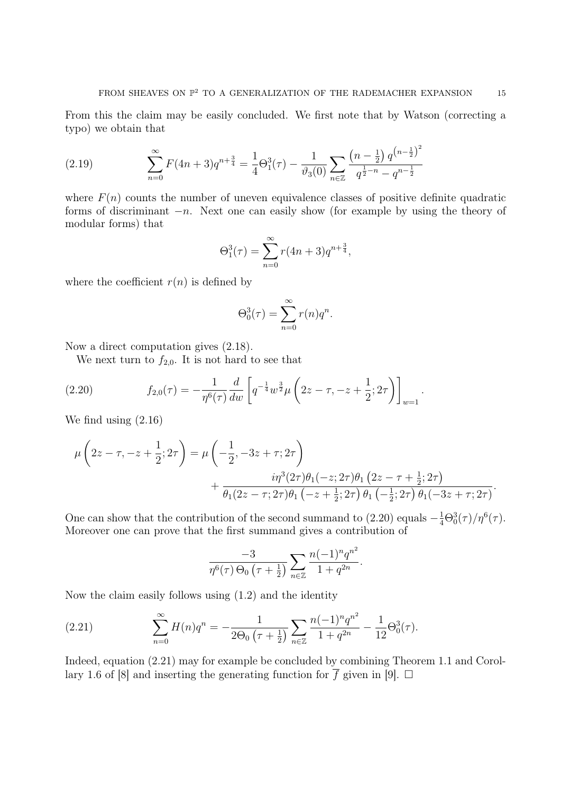From this the claim may be easily concluded. We first note that by Watson (correcting a typo) we obtain that

(2.19) 
$$
\sum_{n=0}^{\infty} F(4n+3)q^{n+\frac{3}{4}} = \frac{1}{4}\Theta_1^3(\tau) - \frac{1}{\vartheta_3(0)} \sum_{n\in\mathbb{Z}} \frac{\left(n-\frac{1}{2}\right)q^{\left(n-\frac{1}{2}\right)^2}}{q^{\frac{1}{2}-n} - q^{n-\frac{1}{2}}}
$$

where  $F(n)$  counts the number of uneven equivalence classes of positive definite quadratic forms of discriminant  $-n$ . Next one can easily show (for example by using the theory of modular forms) that

$$
\Theta_1^3(\tau) = \sum_{n=0}^{\infty} r(4n+3)q^{n+\frac{3}{4}},
$$

where the coefficient  $r(n)$  is defined by

$$
\Theta_0^3(\tau) = \sum_{n=0}^{\infty} r(n)q^n.
$$

Now a direct computation gives (2.18).

We next turn to  $f_{2,0}$ . It is not hard to see that

(2.20) 
$$
f_{2,0}(\tau) = -\frac{1}{\eta^6(\tau)} \frac{d}{dw} \left[ q^{-\frac{1}{4}} w^{\frac{3}{2}} \mu \left( 2z - \tau, -z + \frac{1}{2}; 2\tau \right) \right]_{w=1}.
$$

We find using (2.16)

$$
\mu\left(2z-\tau, -z+\frac{1}{2}; 2\tau\right) = \mu\left(-\frac{1}{2}, -3z+\tau; 2\tau\right) \n+ \frac{i\eta^3(2\tau)\theta_1(-z; 2\tau)\theta_1(2z-\tau+\frac{1}{2}; 2\tau)}{\theta_1(2z-\tau; 2\tau)\theta_1(-z+\frac{1}{2}; 2\tau)\theta_1(-\frac{1}{2}; 2\tau)\theta_1(-3z+\tau; 2\tau)}.
$$

One can show that the contribution of the second summand to (2.20) equals  $-\frac{1}{4}\Theta_0^3(\tau)/\eta^6(\tau)$ . Moreover one can prove that the first summand gives a contribution of

$$
\frac{-3}{\eta^6(\tau)\,\Theta_0\,\left(\tau+\frac{1}{2}\right)}\sum_{n\in\mathbb{Z}}\frac{n(-1)^n q^{n^2}}{1+q^{2n}}.
$$

Now the claim easily follows using (1.2) and the identity

(2.21) 
$$
\sum_{n=0}^{\infty} H(n)q^n = -\frac{1}{2\Theta_0\left(\tau + \frac{1}{2}\right)} \sum_{n\in\mathbb{Z}} \frac{n(-1)^n q^{n^2}}{1 + q^{2n}} - \frac{1}{12}\Theta_0^3(\tau).
$$

Indeed, equation (2.21) may for example be concluded by combining Theorem 1.1 and Corollary 1.6 of [8] and inserting the generating function for  $\overline{f}$  given in [9].  $\Box$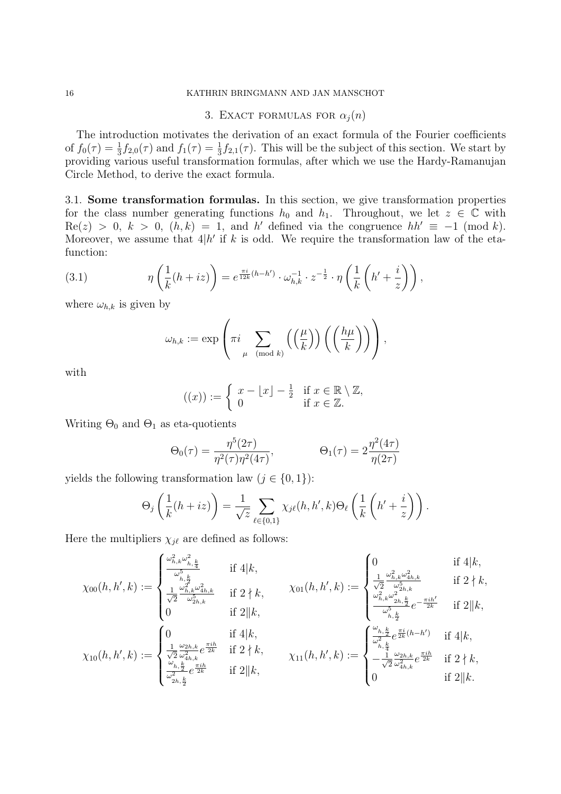#### 16 KATHRIN BRINGMANN AND JAN MANSCHOT

# 3. EXACT FORMULAS FOR  $\alpha_j(n)$

The introduction motivates the derivation of an exact formula of the Fourier coefficients of  $f_0(\tau) = \frac{1}{3} f_{2,0}(\tau)$  and  $f_1(\tau) = \frac{1}{3} f_{2,1}(\tau)$ . This will be the subject of this section. We start by providing various useful transformation formulas, after which we use the Hardy-Ramanujan Circle Method, to derive the exact formula.

3.1. Some transformation formulas. In this section, we give transformation properties for the class number generating functions  $h_0$  and  $h_1$ . Throughout, we let  $z \in \mathbb{C}$  with  $\text{Re}(z) > 0, k > 0, (h, k) = 1$ , and h' defined via the congruence  $hh' \equiv -1 \pmod{k}$ . Moreover, we assume that  $4|h'$  if k is odd. We require the transformation law of the etafunction:

(3.1) 
$$
\eta\left(\frac{1}{k}(h+iz)\right) = e^{\frac{\pi i}{12k}(h-h')} \cdot \omega_{h,k}^{-1} \cdot z^{-\frac{1}{2}} \cdot \eta\left(\frac{1}{k}\left(h' + \frac{i}{z}\right)\right),
$$

where  $\omega_{h,k}$  is given by

$$
\omega_{h,k} := \exp \left( \pi i \sum_{\mu \pmod{k}} \left( \left( \frac{\mu}{k} \right) \right) \left( \left( \frac{h \mu}{k} \right) \right) \right),
$$

with

$$
((x)) := \begin{cases} x - \lfloor x \rfloor - \frac{1}{2} & \text{if } x \in \mathbb{R} \setminus \mathbb{Z}, \\ 0 & \text{if } x \in \mathbb{Z}. \end{cases}
$$

Writing  $\Theta_0$  and  $\Theta_1$  as eta-quotients

$$
\Theta_0(\tau) = \frac{\eta^5(2\tau)}{\eta^2(\tau)\eta^2(4\tau)}, \qquad \Theta_1(\tau) = 2\frac{\eta^2(4\tau)}{\eta(2\tau)}
$$

yields the following transformation law  $(j \in \{0, 1\})$ :

$$
\Theta_j\left(\frac{1}{k}(h+iz)\right) = \frac{1}{\sqrt{z}} \sum_{\ell \in \{0,1\}} \chi_{j\ell}(h,h',k) \Theta_\ell\left(\frac{1}{k}\left(h'+\frac{i}{z}\right)\right).
$$

Here the multipliers  $\chi_{j\ell}$  are defined as follows:

$$
\chi_{00}(h, h', k) := \begin{cases} \frac{\omega_{h,k}^2 \omega_{h,\frac{k}{4}}^2}{\omega_{h,\frac{k}{2}}^5} & \text{if } 4|k, \\ \frac{1}{\sqrt{2}} \frac{\omega_{h,k}^2 \omega_{4h,k}^2}{\omega_{h,k}^5} & \text{if } 2 \nmid k, \end{cases} \qquad \chi_{01}(h, h', k) := \begin{cases} 0 & \text{if } 4|k, \\ \frac{1}{\sqrt{2}} \frac{\omega_{h,k}^2 \omega_{4h,k}^2}{\omega_{2h,k}^5} & \text{if } 2 \nmid k, \end{cases}
$$

$$
\begin{array}{lll}\n\sqrt{2} & \frac{\sqrt{5}}{\sqrt{2}} \frac{\sqrt{5}}{\omega_{2h,k}^5} & \text{if } 2 \mid k, \\
0 & \text{if } 2 \mid k,\n\end{array}\n\qquad\n\begin{array}{lll}\n\frac{\omega_{h,k}^2 \omega_{2h,k}^2}{\omega_{h,k}^5} e^{-\frac{\pi i h'}{2k}} & \text{if } 2 \mid k,\n\end{array}
$$

$$
\chi_{10}(h, h', k) := \begin{cases} 0 & \text{if } 4|k, \\ \frac{1}{\sqrt{2}} \frac{\omega_{2h,k}}{\omega_{4h,k}^2} e^{\frac{\pi i h}{2k}} & \text{if } 2 \nmid k, \\ \frac{\omega_{h,\frac{k}{2}}}{\omega_{2h,\frac{k}{2}}^2} e^{\frac{\pi i h}{2k}} & \text{if } 2|k, \end{cases} \qquad \chi_{11}(h, h', k) := \begin{cases} \frac{\omega_{h,\frac{k}{2}}}{\omega_{h,\frac{k}{4}}^2} e^{\frac{\pi i}{2k}(h - h')} & \text{if } 4|k, \\ -\frac{1}{\sqrt{2}} \frac{\omega_{2h,k}}{\omega_{4h,k}^2} e^{\frac{\pi i h}{2k}} & \text{if } 2 \nmid k, \\ 0 & \text{if } 2\|k. \end{cases}
$$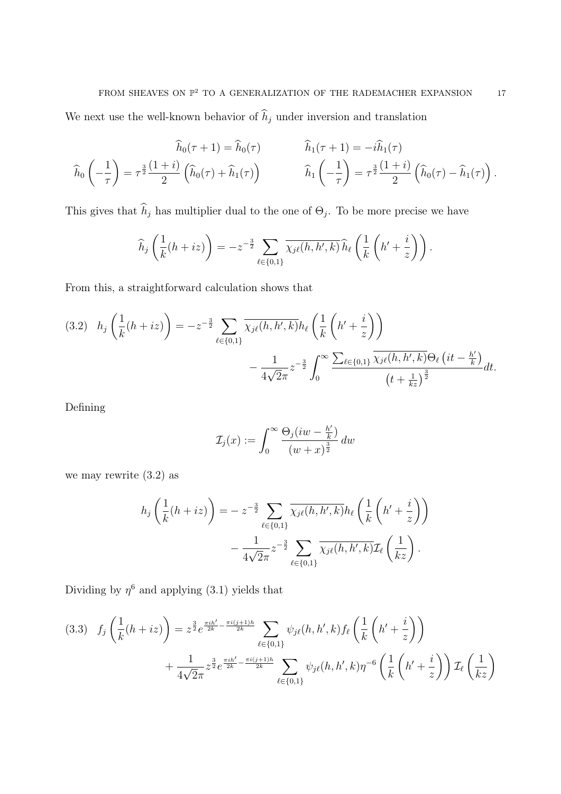We next use the well-known behavior of  $\widehat h_j$  under inversion and translation

$$
\widehat{h}_0(\tau+1) = \widehat{h}_0(\tau) \qquad \qquad \widehat{h}_1(\tau+1) = -i\widehat{h}_1(\tau)
$$
\n
$$
\widehat{h}_0\left(-\frac{1}{\tau}\right) = \tau^{\frac{3}{2}}\frac{(1+i)}{2}\left(\widehat{h}_0(\tau) + \widehat{h}_1(\tau)\right) \qquad \qquad \widehat{h}_1\left(-\frac{1}{\tau}\right) = \tau^{\frac{3}{2}}\frac{(1+i)}{2}\left(\widehat{h}_0(\tau) - \widehat{h}_1(\tau)\right).
$$

This gives that  $h_j$  has multiplier dual to the one of  $\Theta_j$ . To be more precise we have

$$
\widehat{h}_j\left(\frac{1}{k}(h+iz)\right)=-z^{-\frac{3}{2}}\sum_{\ell\in\{0,1\}}\overline{\chi_{j\ell}(h,h',k)}\,\widehat{h}_\ell\left(\frac{1}{k}\left(h'+\frac{i}{z}\right)\right).
$$

From this, a straightforward calculation shows that

$$
(3.2) \quad h_j\left(\frac{1}{k}(h+iz)\right) = -z^{-\frac{3}{2}} \sum_{\ell \in \{0,1\}} \overline{\chi_j \ell(h, h', k)} h_\ell\left(\frac{1}{k}\left(h' + \frac{i}{z}\right)\right) - \frac{1}{4\sqrt{2}\pi} z^{-\frac{3}{2}} \int_0^\infty \frac{\sum_{\ell \in \{0,1\}} \overline{\chi_j \ell(h, h', k)} \Theta_\ell\left(it - \frac{h'}{k}\right)}{\left(t + \frac{1}{kz}\right)^{\frac{3}{2}}} dt.
$$

Defining

$$
\mathcal{I}_j(x) := \int_0^\infty \frac{\Theta_j(iw - \frac{h'}{k})}{(w+x)^{\frac{3}{2}}} dw
$$

we may rewrite (3.2) as

$$
h_j\left(\frac{1}{k}(h+iz)\right) = -z^{-\frac{3}{2}} \sum_{\ell \in \{0,1\}} \overline{\chi_{j\ell}(h,h',k)} h_{\ell}\left(\frac{1}{k}\left(h'+\frac{i}{z}\right)\right) - \frac{1}{4\sqrt{2}\pi} z^{-\frac{3}{2}} \sum_{\ell \in \{0,1\}} \overline{\chi_{j\ell}(h,h',k)} \mathcal{I}_{\ell}\left(\frac{1}{kz}\right).
$$

Dividing by  $\eta^6$  and applying (3.1) yields that

$$
(3.3) \quad f_j\left(\frac{1}{k}(h+iz)\right) = z^{\frac{3}{2}}e^{\frac{\pi i h'}{2k} - \frac{\pi i (j+1)h}{2k}} \sum_{\ell \in \{0,1\}} \psi_{j\ell}(h, h', k) f_{\ell}\left(\frac{1}{k}\left(h' + \frac{i}{z}\right)\right) + \frac{1}{4\sqrt{2}\pi} z^{\frac{3}{2}}e^{\frac{\pi i h'}{2k} - \frac{\pi i (j+1)h}{2k}} \sum_{\ell \in \{0,1\}} \psi_{j\ell}(h, h', k)\eta^{-6}\left(\frac{1}{k}\left(h' + \frac{i}{z}\right)\right) \mathcal{I}_{\ell}\left(\frac{1}{kz}\right)
$$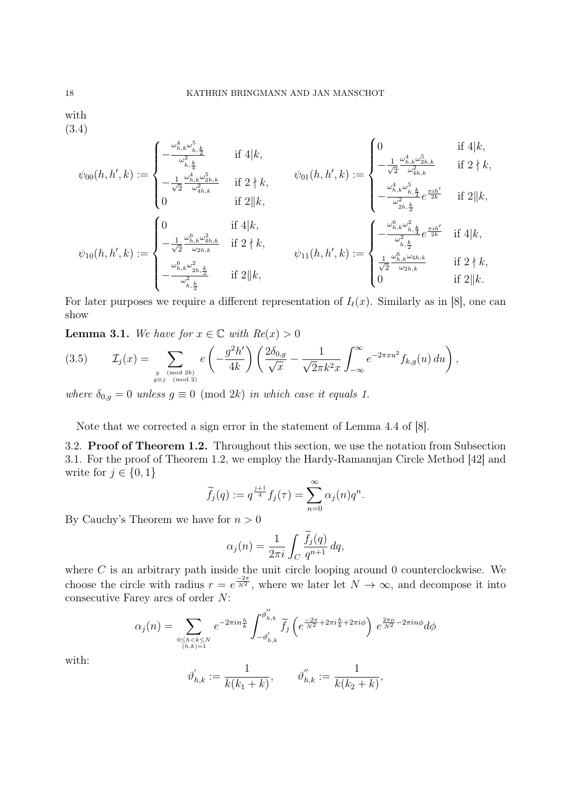with (3.4)

$$
\mathcal{C}(k,k):=\begin{cases} -\frac{\omega_{h,k}^4\omega_{h,\frac{k}{2}}^5}{\omega_{h,\frac{k}{4}}^2} & \text{if } 4|k, \\ 1-\frac{\omega_{h,k}^4\omega_{2h,k}^5}{\omega_{h,k}^4\omega_{2h,k}^5} & \text{if } 2\nmid k, \end{cases} \qquad \psi_{01}(h,h',k):=\begin{cases} 0 & \text{if } 4|k, \\ -\frac{1}{\sqrt{2}}\frac{\omega_{h,k}^4\omega_{2h,k}^5}{\omega_{4h,k}^2} & \text{if } 2\nmid k, \end{cases}
$$

$$
\psi_{00}(h, h', k) := \begin{cases}\n-\frac{1}{\sqrt{2}} \frac{\omega_{h,k}^4 \omega_{2h,k}^5}{\omega_{4h,k}^2} & \text{if } 2 \nmid k, \\
0 & \text{if } 2 \nmid k,\n\end{cases}\n\quad\n\psi_{01}(h, h', k) := \begin{cases}\n\frac{\omega_{h,k}^4 \omega_{2h,k}^5}{\omega_{4h,k}^2} & \text{if } 2 \nmid k, \\
-\frac{\omega_{h,k}^4 \omega_{h,k}^5}{\omega_{2h,k}^2} e^{\frac{\pi i h'}{2k}} & \text{if } 2 \nmid k, \\
-\frac{1}{\sqrt{2}} \frac{\omega_{h,k}^6 \omega_{4h,k}^2}{\omega_{2h,k}} & \text{if } 2 \nmid k,\n\end{cases}\n\quad\n\psi_{11}(h, h', k) := \begin{cases}\n-\frac{\omega_{h,k}^6 \omega_{h,k}^2}{\omega_{2h,k}^2} e^{\frac{\pi i h'}{2k}} & \text{if } 4 \nmid k, \\
-\frac{\omega_{h,k}^6 \omega_{2h,k}^2}{\omega_{2h,k}^2} & \text{if } 2 \nmid k, \\
0 & \text{if } 2 \nmid k,\n\end{cases}\n\quad\n\psi_{11}(h, h', k) := \begin{cases}\n-\frac{\omega_{h,k}^6 \omega_{h,k}^2}{\omega_{2h,k}^2} e^{\frac{\pi i h'}{2k}} & \text{if } 2 \nmid k, \\
\frac{1}{\sqrt{2}} \frac{\omega_{h,k}^6 \omega_{4h,k}}{\omega_{2h,k}} & \text{if } 2 \nmid k, \\
0 & \text{if } 2 \nmid k.\n\end{cases}
$$

For later purposes we require a different representation of  $I_{\ell}(x)$ . Similarly as in [8], one can show

**Lemma 3.1.** We have for  $x \in \mathbb{C}$  with  $Re(x) > 0$ 

(3.5) 
$$
\mathcal{I}_j(x) = \sum_{\substack{g \pmod{2k} \\ g \equiv j \pmod{2}}} e\left(-\frac{g^2 h'}{4k}\right) \left(\frac{2\delta_{0,g}}{\sqrt{x}} - \frac{1}{\sqrt{2}\pi k^2 x} \int_{-\infty}^{\infty} e^{-2\pi x u^2} f_{k,g}(u) du\right),
$$

where  $\delta_{0,g} = 0$  unless  $g \equiv 0 \pmod{2k}$  in which case it equals 1.

Note that we corrected a sign error in the statement of Lemma 4.4 of [8].

3.2. Proof of Theorem 1.2. Throughout this section, we use the notation from Subsection 3.1. For the proof of Theorem 1.2, we employ the Hardy-Ramanujan Circle Method [42] and write for  $j \in \{0, 1\}$ 

$$
\widetilde{f}_j(q) := q^{\frac{j+1}{4}} f_j(\tau) = \sum_{n=0}^{\infty} \alpha_j(n) q^n.
$$

By Cauchy's Theorem we have for  $n > 0$ 

$$
\alpha_j(n) = \frac{1}{2\pi i} \int_C \frac{\tilde{f}_j(q)}{q^{n+1}} dq,
$$

where  $C$  is an arbitrary path inside the unit circle looping around 0 counterclockwise. We choose the circle with radius  $r = e^{\frac{-2\pi}{N^2}}$ , where we later let  $N \to \infty$ , and decompose it into consecutive Farey arcs of order N:

 $\overline{a}$ 

$$
\alpha_j(n) = \sum_{\substack{0 \le h < k \le N \\ (h,k)=1}} e^{-2\pi i n \frac{h}{k}} \int_{-\vartheta'_{h,k}}^{\vartheta'_{h,k}} \widetilde{f}_j \left( e^{\frac{-2\pi}{N^2} + 2\pi i \frac{h}{k} + 2\pi i \phi} \right) e^{\frac{2\pi n}{N^2} - 2\pi i n \phi} d\phi
$$

with:

$$
\vartheta'_{h,k} := \frac{1}{k(k_1 + k)}, \qquad \vartheta''_{h,k} := \frac{1}{k(k_2 + k)},
$$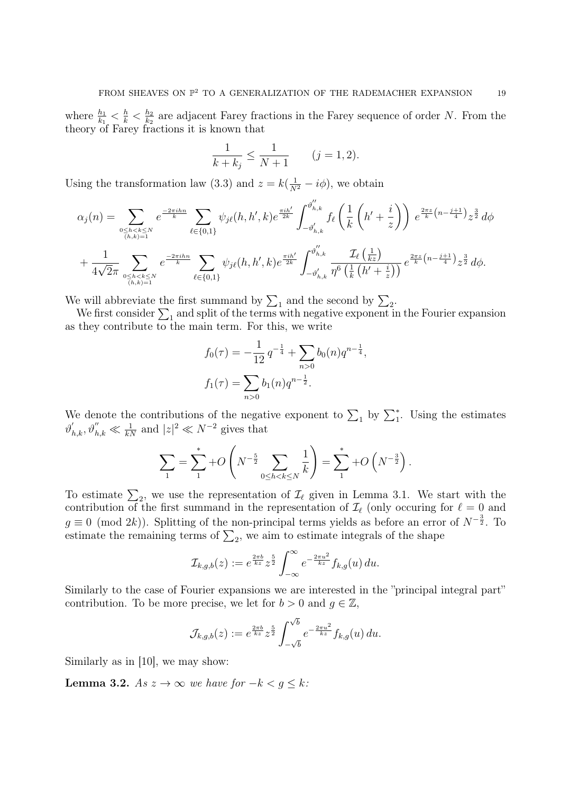where  $\frac{h_1}{k_1} < \frac{h}{k} < \frac{h_2}{k_2}$  $\frac{h_2}{k_2}$  are adjacent Farey fractions in the Farey sequence of order N. From the theory of Farey fractions it is known that

$$
\frac{1}{k+k_j} \le \frac{1}{N+1} \qquad (j=1,2).
$$

Using the transformation law (3.3) and  $z = k(\frac{1}{N^2} - i\phi)$ , we obtain

$$
\alpha_{j}(n) = \sum_{\substack{0 \le h < k \le N \\ (h,k)=1}} e^{\frac{-2\pi i h n}{k}} \sum_{\ell \in \{0,1\}} \psi_{j\ell}(h, h', k) e^{\frac{\pi i h'}{2k}} \int_{-\vartheta'_{h,k}}^{\vartheta''_{h,k}} f_{\ell}\left(\frac{1}{k}\left(h' + \frac{i}{z}\right)\right) e^{\frac{2\pi z}{k}\left(n - \frac{j+1}{4}\right)} z^{\frac{3}{2}} d\phi
$$
  
+ 
$$
\frac{1}{4\sqrt{2\pi}} \sum_{\substack{0 \le h < k \le N \\ (h,k)=1}} e^{\frac{-2\pi i h n}{k}} \sum_{\ell \in \{0,1\}} \psi_{j\ell}(h, h', k) e^{\frac{\pi i h'}{2k}} \int_{-\vartheta'_{h,k}}^{\vartheta''_{h,k}} \frac{\mathcal{I}_{\ell}\left(\frac{1}{kz}\right)}{\eta^{6}\left(\frac{1}{k}\left(h' + \frac{i}{z}\right)\right)} e^{\frac{2\pi z}{k}\left(n - \frac{j+1}{4}\right)} z^{\frac{3}{2}} d\phi.
$$

We will abbreviate the first summand by  $\sum_1$  and the second by  $\sum_2$ .

We first consider  $\sum_1$  and split of the terms with negative exponent in the Fourier expansion as they contribute to the main term. For this, we write

$$
f_0(\tau) = -\frac{1}{12} q^{-\frac{1}{4}} + \sum_{n>0} b_0(n) q^{n-\frac{1}{4}},
$$
  

$$
f_1(\tau) = \sum_{n>0} b_1(n) q^{n-\frac{1}{2}}.
$$

We denote the contributions of the negative exponent to  $\sum_1$  by  $\sum_1^*$ . Using the estimates  $\vartheta'_{h,k}, \vartheta''_{h,k} \ll \frac{1}{kN}$  and  $|z|^2 \ll N^{-2}$  gives that

$$
\sum_{1} = \sum_{1}^{*} + O\left(N^{-\frac{5}{2}} \sum_{0 \le h < k \le N} \frac{1}{k}\right) = \sum_{1}^{*} + O\left(N^{-\frac{3}{2}}\right).
$$

To estimate  $\Sigma_2$ , we use the representation of  $\mathcal{I}_{\ell}$  given in Lemma 3.1. We start with the contribution of the first summand in the representation of  $\mathcal{I}_{\ell}$  (only occuring for  $\ell = 0$  and  $g \equiv 0 \pmod{2k}$ . Splitting of the non-principal terms yields as before an error of  $N^{-\frac{3}{2}}$ . To estimate the remaining terms of  $\Sigma_2$ , we aim to estimate integrals of the shape

$$
\mathcal{I}_{k,g,b}(z) := e^{\frac{2\pi b}{kz}} z^{\frac{5}{2}} \int_{-\infty}^{\infty} e^{-\frac{2\pi u^2}{kz}} f_{k,g}(u) du.
$$

Similarly to the case of Fourier expansions we are interested in the "principal integral part" contribution. To be more precise, we let for  $b > 0$  and  $q \in \mathbb{Z}$ ,

$$
\mathcal{J}_{k,g,b}(z) := e^{\frac{2\pi b}{kz}} z^{\frac{5}{2}} \int_{-\sqrt{b}}^{\sqrt{b}} e^{-\frac{2\pi u^2}{kz}} f_{k,g}(u) du.
$$

Similarly as in [10], we may show:

**Lemma 3.2.** As  $z \to \infty$  we have for  $-k < g \leq k$ :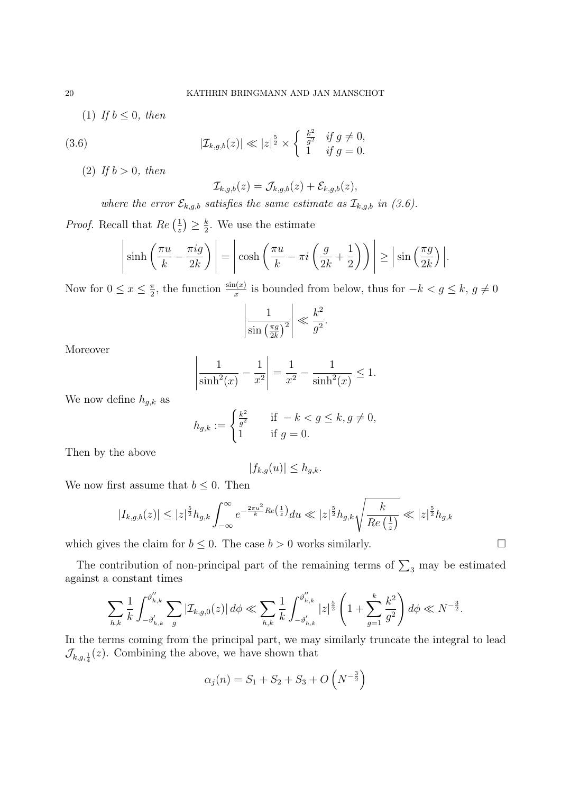(1) If  $b \leq 0$ , then

(3.6) 
$$
|\mathcal{I}_{k,g,b}(z)| \ll |z|^{\frac{5}{2}} \times \begin{cases} \frac{k^2}{g^2} & \text{if } g \neq 0, \\ 1 & \text{if } g = 0. \end{cases}
$$

(2) If  $b > 0$ , then

$$
\mathcal{I}_{k,g,b}(z)=\mathcal{J}_{k,g,b}(z)+\mathcal{E}_{k,g,b}(z),
$$

where the error  $\mathcal{E}_{k,g,b}$  satisfies the same estimate as  $\mathcal{I}_{k,g,b}$  in (3.6).

*Proof.* Recall that  $Re\left(\frac{1}{\epsilon}\right)$  $(\frac{1}{z}) \geq \frac{k}{2}$  $\frac{k}{2}$ . We use the estimate

$$
\left|\sinh\left(\frac{\pi u}{k} - \frac{\pi i g}{2k}\right)\right| = \left|\cosh\left(\frac{\pi u}{k} - \pi i \left(\frac{g}{2k} + \frac{1}{2}\right)\right)\right| \ge \left|\sin\left(\frac{\pi g}{2k}\right)\right|.
$$

Now for  $0 \leq x \leq \frac{\pi}{2}$  $\frac{\pi}{2}$ , the function  $\frac{\sin(x)}{x}$  is bounded from below, thus for  $-k < g \leq k$ ,  $g \neq 0$ 

$$
\left|\frac{1}{\sin\left(\frac{\pi g}{2k}\right)^2}\right| \ll \frac{k^2}{g^2}.
$$

Moreover

$$
\left| \frac{1}{\sinh^2(x)} - \frac{1}{x^2} \right| = \frac{1}{x^2} - \frac{1}{\sinh^2(x)} \le 1.
$$

We now define  $h_{g,k}$  as

$$
h_{g,k} := \begin{cases} \frac{k^2}{g^2} & \text{if } -k < g \le k, g \ne 0, \\ 1 & \text{if } g = 0. \end{cases}
$$

Then by the above

$$
|f_{k,g}(u)| \leq h_{g,k}.
$$

We now first assume that  $b \leq 0$ . Then

$$
|I_{k,g,b}(z)| \leq |z|^{\frac{5}{2}} h_{g,k} \int_{-\infty}^{\infty} e^{-\frac{2\pi u^2}{k}Re\left(\frac{1}{z}\right)} du \ll |z|^{\frac{5}{2}} h_{g,k} \sqrt{\frac{k}{Re\left(\frac{1}{z}\right)}} \ll |z|^{\frac{5}{2}} h_{g,k}
$$

which gives the claim for  $b \leq 0$ . The case  $b > 0$  works similarly.

The contribution of non-principal part of the remaining terms of  $\sum_3$  may be estimated against a constant times

$$
\sum_{h,k} \frac{1}{k} \int_{-\vartheta'_{h,k}}^{\vartheta''_{h,k}} \sum_{g} |\mathcal{I}_{k,g,0}(z)| d\phi \ll \sum_{h,k} \frac{1}{k} \int_{-\vartheta'_{h,k}}^{\vartheta''_{h,k}} |z|^{\frac{5}{2}} \left(1 + \sum_{g=1}^{k} \frac{k^2}{g^2}\right) d\phi \ll N^{-\frac{3}{2}}.
$$

In the terms coming from the principal part, we may similarly truncate the integral to lead  $\mathcal{J}_{k,g,\frac{1}{4}}(z)$ . Combining the above, we have shown that

$$
\alpha_j(n) = S_1 + S_2 + S_3 + O\left(N^{-\frac{3}{2}}\right)
$$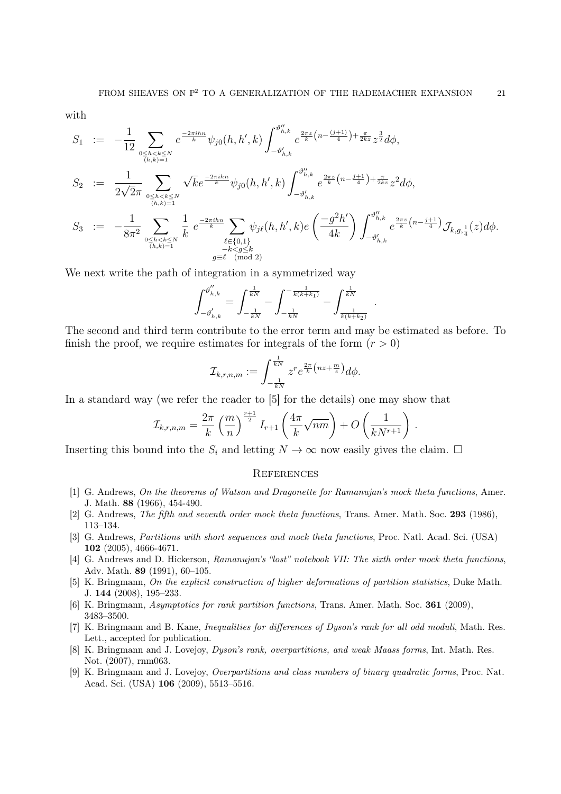with

$$
S_{1} := -\frac{1}{12} \sum_{\substack{0 \leq h < k \leq N \\ (h,k)=1}} e^{\frac{-2\pi i h n}{k}} \psi_{j0}(h, h', k) \int_{-\vartheta'_{h,k}}^{\vartheta''_{h,k}} e^{\frac{2\pi z}{k} \left(n - \frac{(j+1)}{4}\right) + \frac{\pi}{2kz} \sum_{2}^{3} d\phi},
$$
\n
$$
S_{2} := \frac{1}{2\sqrt{2\pi}} \sum_{\substack{0 \leq h < k \leq N \\ (h, k) = 1}} \sqrt{k} e^{\frac{-2\pi i h n}{k}} \psi_{j0}(h, h', k) \int_{-\vartheta'_{h,k}}^{\vartheta''_{h,k}} e^{\frac{2\pi z}{k} \left(n - \frac{j+1}{4}\right) + \frac{\pi}{2kz} \sum_{2}^{3} d\phi},
$$
\n
$$
S_{3} := -\frac{1}{8\pi^{2}} \sum_{\substack{0 \leq h < k \leq N \\ (h, k) = 1}} \frac{1}{k} e^{\frac{-2\pi i h n}{k}} \sum_{\substack{\ell \in \{0, 1\} \\ \ell \in \{0, 1\} \\ -k < g \leq k}} \psi_{j\ell}(h, h', k) e\left(\frac{-g^{2}h'}{4k}\right) \int_{-\vartheta'_{h,k}}^{\vartheta''_{h,k}} e^{\frac{2\pi z}{k} \left(n - \frac{j+1}{4}\right)} \mathcal{J}_{k, g, \frac{1}{4}}(z) d\phi.
$$

We next write the path of integration in a symmetrized way

$$
\int_{-\vartheta_{h,k}^{'}}^{\vartheta_{h,k}^{''}}=\int_{-\frac{1}{kN}}^{\frac{1}{kN}}-\int_{-\frac{1}{kN}}^{-\frac{1}{k(k+k_1)}}-\int_{\frac{1}{k(k+k_2)}}^{\frac{1}{kN}}\enspace.
$$

The second and third term contribute to the error term and may be estimated as before. To finish the proof, we require estimates for integrals of the form  $(r > 0)$ 

$$
\mathcal{I}_{k,r,n,m} := \int_{-\frac{1}{kN}}^{\frac{1}{kN}} z^r e^{\frac{2\pi}{k} \left( nz + \frac{m}{z} \right)} d\phi.
$$

In a standard way (we refer the reader to [5] for the details) one may show that

$$
\mathcal{I}_{k,r,n,m} = \frac{2\pi}{k} \left(\frac{m}{n}\right)^{\frac{r+1}{2}} I_{r+1}\left(\frac{4\pi}{k}\sqrt{nm}\right) + O\left(\frac{1}{kN^{r+1}}\right).
$$

Inserting this bound into the  $S_i$  and letting  $N \to \infty$  now easily gives the claim.  $\Box$ 

#### **REFERENCES**

- [1] G. Andrews, On the theorems of Watson and Dragonette for Ramanujan's mock theta functions, Amer. J. Math. 88 (1966), 454-490.
- [2] G. Andrews, The fifth and seventh order mock theta functions, Trans. Amer. Math. Soc. 293 (1986), 113–134.
- [3] G. Andrews, Partitions with short sequences and mock theta functions, Proc. Natl. Acad. Sci. (USA) 102 (2005), 4666-4671.
- [4] G. Andrews and D. Hickerson, Ramanujan's "lost" notebook VII: The sixth order mock theta functions, Adv. Math. 89 (1991), 60–105.
- [5] K. Bringmann, On the explicit construction of higher deformations of partition statistics, Duke Math. J. 144 (2008), 195–233.
- [6] K. Bringmann, Asymptotics for rank partition functions, Trans. Amer. Math. Soc. 361 (2009), 3483–3500.
- [7] K. Bringmann and B. Kane, Inequalities for differences of Dyson's rank for all odd moduli, Math. Res. Lett., accepted for publication.
- [8] K. Bringmann and J. Lovejoy, Dyson's rank, overpartitions, and weak Maass forms, Int. Math. Res. Not. (2007), rnm063.
- [9] K. Bringmann and J. Lovejoy, Overpartitions and class numbers of binary quadratic forms, Proc. Nat. Acad. Sci. (USA) 106 (2009), 5513–5516.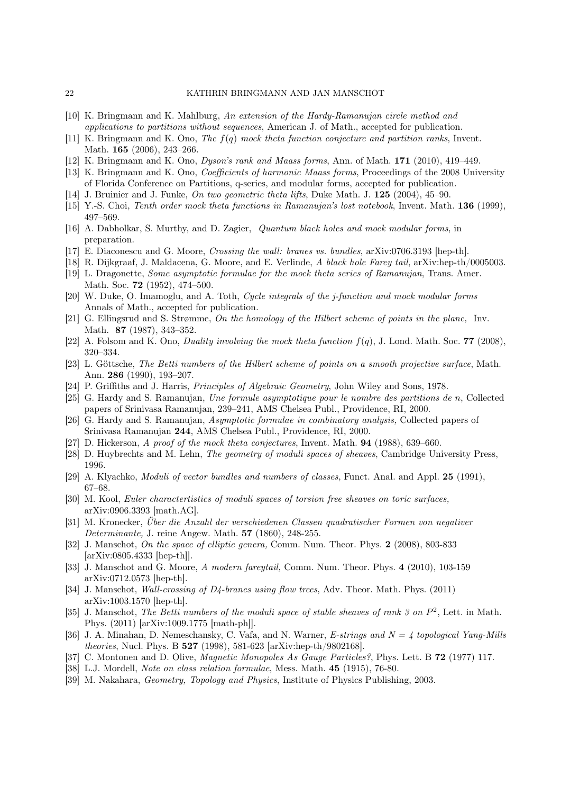- [10] K. Bringmann and K. Mahlburg, An extension of the Hardy-Ramanujan circle method and applications to partitions without sequences, American J. of Math., accepted for publication.
- [11] K. Bringmann and K. Ono, The f(q) mock theta function conjecture and partition ranks, Invent. Math. **165** (2006), 243-266.
- [12] K. Bringmann and K. Ono, Dyson's rank and Maass forms, Ann. of Math. 171 (2010), 419–449.
- [13] K. Bringmann and K. Ono, Coefficients of harmonic Maass forms, Proceedings of the 2008 University of Florida Conference on Partitions, q-series, and modular forms, accepted for publication.
- [14] J. Bruinier and J. Funke, On two geometric theta lifts, Duke Math. J. 125 (2004), 45–90.
- [15] Y.-S. Choi, Tenth order mock theta functions in Ramanujan's lost notebook, Invent. Math. 136 (1999), 497–569.
- [16] A. Dabholkar, S. Murthy, and D. Zagier, Quantum black holes and mock modular forms, in preparation.
- [17] E. Diaconescu and G. Moore, Crossing the wall: branes vs. bundles, arXiv:0706.3193 [hep-th].
- [18] R. Dijkgraaf, J. Maldacena, G. Moore, and E. Verlinde, A black hole Farey tail, arXiv:hep-th/0005003.
- [19] L. Dragonette, Some asymptotic formulae for the mock theta series of Ramanujan, Trans. Amer. Math. Soc. 72 (1952), 474–500.
- [20] W. Duke, O. Imamoglu, and A. Toth, Cycle integrals of the j-function and mock modular forms Annals of Math., accepted for publication.
- [21] G. Ellingsrud and S. Strømme, On the homology of the Hilbert scheme of points in the plane, Inv. Math. 87 (1987), 343–352.
- [22] A. Folsom and K. Ono, Duality involving the mock theta function  $f(q)$ , J. Lond. Math. Soc. 77 (2008), 320–334.
- [23] L. Göttsche, The Betti numbers of the Hilbert scheme of points on a smooth projective surface, Math. Ann. 286 (1990), 193–207.
- [24] P. Griffiths and J. Harris, Principles of Algebraic Geometry, John Wiley and Sons, 1978.
- [25] G. Hardy and S. Ramanujan, Une formule asymptotique pour le nombre des partitions de n, Collected papers of Srinivasa Ramanujan, 239–241, AMS Chelsea Publ., Providence, RI, 2000.
- [26] G. Hardy and S. Ramanujan, Asymptotic formulae in combinatory analysis, Collected papers of Srinivasa Ramanujan 244, AMS Chelsea Publ., Providence, RI, 2000.
- [27] D. Hickerson, A proof of the mock theta conjectures, Invent. Math. 94 (1988), 639–660.
- [28] D. Huybrechts and M. Lehn, The geometry of moduli spaces of sheaves, Cambridge University Press, 1996.
- [29] A. Klyachko, *Moduli of vector bundles and numbers of classes*, Funct. Anal. and Appl. **25** (1991), 67–68.
- [30] M. Kool, Euler charactertistics of moduli spaces of torsion free sheaves on toric surfaces, arXiv:0906.3393 [math.AG].
- [31] M. Kronecker, Über die Anzahl der verschiedenen Classen quadratischer Formen von negativer Determinante, J. reine Angew. Math. 57 (1860), 248-255.
- [32] J. Manschot, On the space of elliptic genera, Comm. Num. Theor. Phys. 2 (2008), 803-833 [arXiv:0805.4333 [hep-th]].
- [33] J. Manschot and G. Moore, A modern fareytail, Comm. Num. Theor. Phys. 4 (2010), 103-159 arXiv:0712.0573 [hep-th].
- [34] J. Manschot, Wall-crossing of D4-branes using flow trees, Adv. Theor. Math. Phys. (2011) arXiv:1003.1570 [hep-th].
- [35] J. Manschot, The Betti numbers of the moduli space of stable sheaves of rank 3 on  $P^2$ , Lett. in Math. Phys. (2011) [arXiv:1009.1775 [math-ph]].
- [36] J. A. Minahan, D. Nemeschansky, C. Vafa, and N. Warner, E-strings and  $N = 4$  topological Yang-Mills theories, Nucl. Phys. B 527 (1998), 581-623 [arXiv:hep-th/9802168].
- [37] C. Montonen and D. Olive, *Magnetic Monopoles As Gauge Particles?*, Phys. Lett. B **72** (1977) 117.
- [38] L.J. Mordell, Note on class relation formulae, Mess. Math. 45 (1915), 76-80.
- [39] M. Nakahara, Geometry, Topology and Physics, Institute of Physics Publishing, 2003.